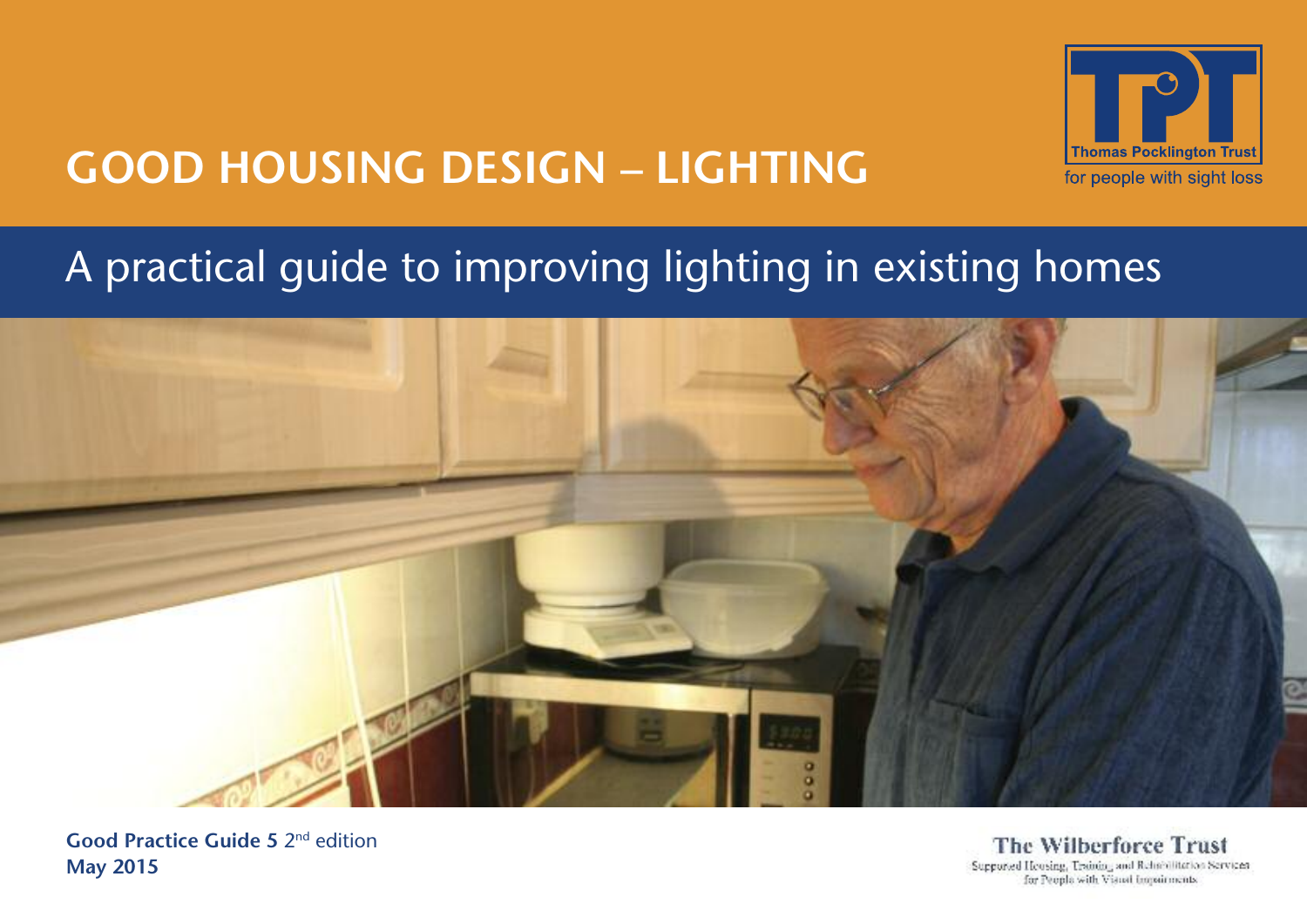

# **GOOD HOUSING DESIGN – LIGHTING**

# A practical guide to improving lighting in existing homes



**Good Practice Guide 5** 2nd edition **May 2015**

**The Wilberforce Trust** Supported Housing, Training and Rehnbillitation Services for People with Visual Impairments.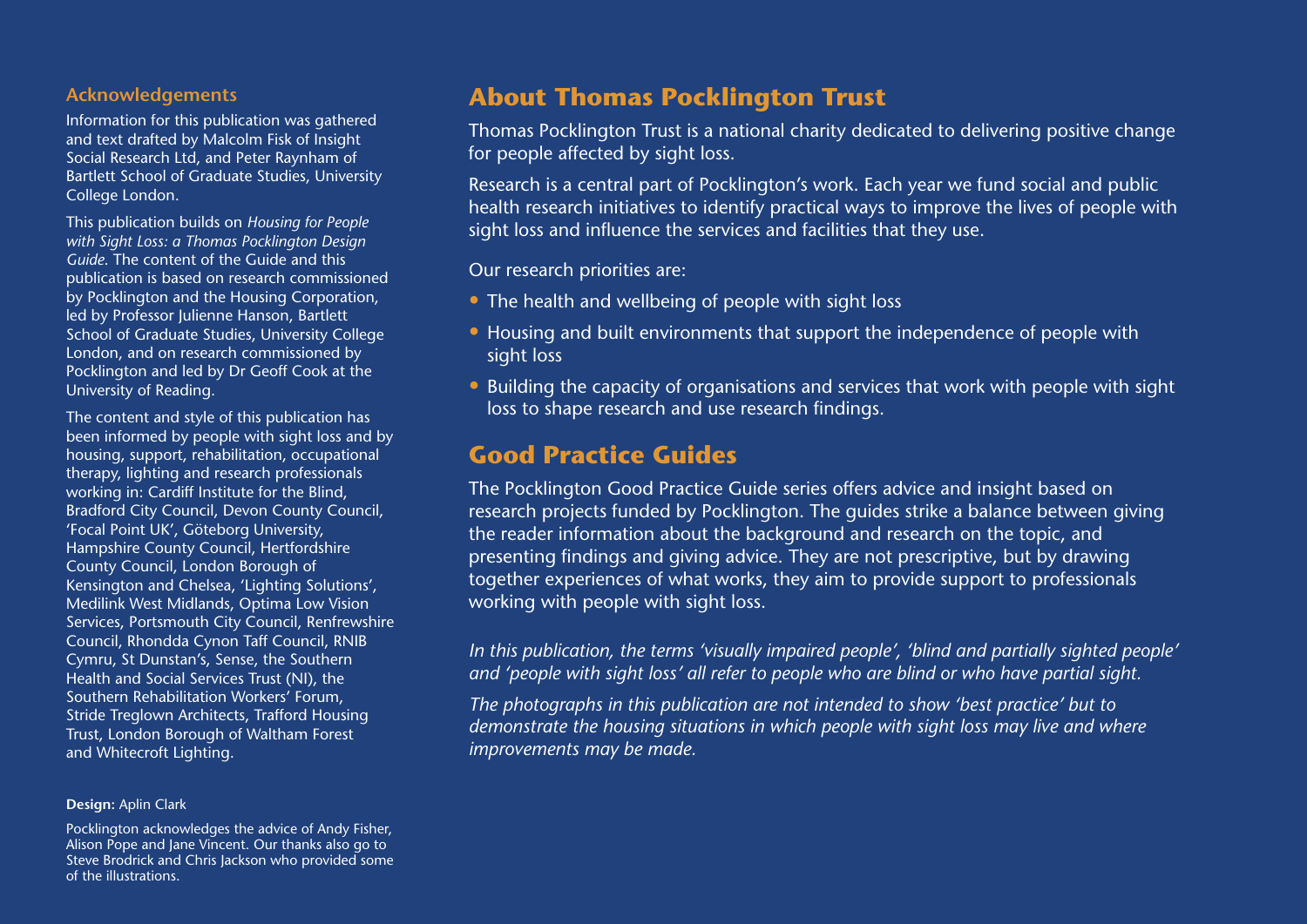#### **Acknowledgements**

Information for this publication was gathered and text drafted by Malcolm Fisk of Insight Social Research Ltd, and Peter Raynham of Bartlett School of Graduate Studies, University College London.

This publication builds on *Housing for People with Sight Loss: a Thomas Pocklington Design Guide*. The content of the Guide and this publication is based on research commissioned by Pocklington and the Housing Corporation, led by Professor Julienne Hanson, Bartlett School of Graduate Studies, University College London, and on research commissioned by Pocklington and led by Dr Geoff Cook at the University of Reading.

The content and style of this publication has been informed by people with sight loss and by housing, support, rehabilitation, occupational therapy, lighting and research professionals working in: Cardiff Institute for the Blind, Bradford City Council, Devon County Council, 'Focal Point UK', Göteborg University, Hampshire County Council, Hertfordshire County Council, London Borough of Kensington and Chelsea, 'Lighting Solutions', Medilink West Midlands, Optima Low Vision Services, Portsmouth City Council, Renfrewshire Council, Rhondda Cynon Taff Council, RNIB Cymru, St Dunstan's, Sense, the Southern Health and Social Services Trust (NI), the Southern Rehabilitation Workers' Forum, Stride Treglown Architects, Trafford Housing Trust, London Borough of Waltham Forest and Whitecroft Lighting.

#### **Design:** Aplin Clark

Pocklington acknowledges the advice of Andy Fisher, Alison Pope and Jane Vincent. Our thanks also go to Steve Brodrick and Chris Jackson who provided some of the illustrations.

## **About Thomas Pocklington Trust**

Thomas Pocklington Trust is a national charity dedicated to delivering positive change for people affected by sight loss.

Research is a central part of Pocklington's work. Each year we fund social and public health research initiatives to identify practical ways to improve the lives of people with sight loss and influence the services and facilities that they use.

Our research priorities are:

- The health and wellbeing of people with sight loss
- Housing and built environments that support the independence of people with sight loss
- Building the capacity of organisations and services that work with people with sight loss to shape research and use research findings.

## **Good Practice Guides**

The Pocklington Good Practice Guide series offers advice and insight based on research projects funded by Pocklington. The guides strike a balance between giving the reader information about the background and research on the topic, and presenting findings and giving advice. They are not prescriptive, but by drawing together experiences of what works, they aim to provide support to professionals working with people with sight loss.

*In this publication, the terms 'visually impaired people', 'blind and partially sighted people' and 'people with sight loss' all refer to people who are blind or who have partial sight.*

*The photographs in this publication are not intended to show 'best practice' but to demonstrate the housing situations in which people with sight loss may live and where improvements may be made.*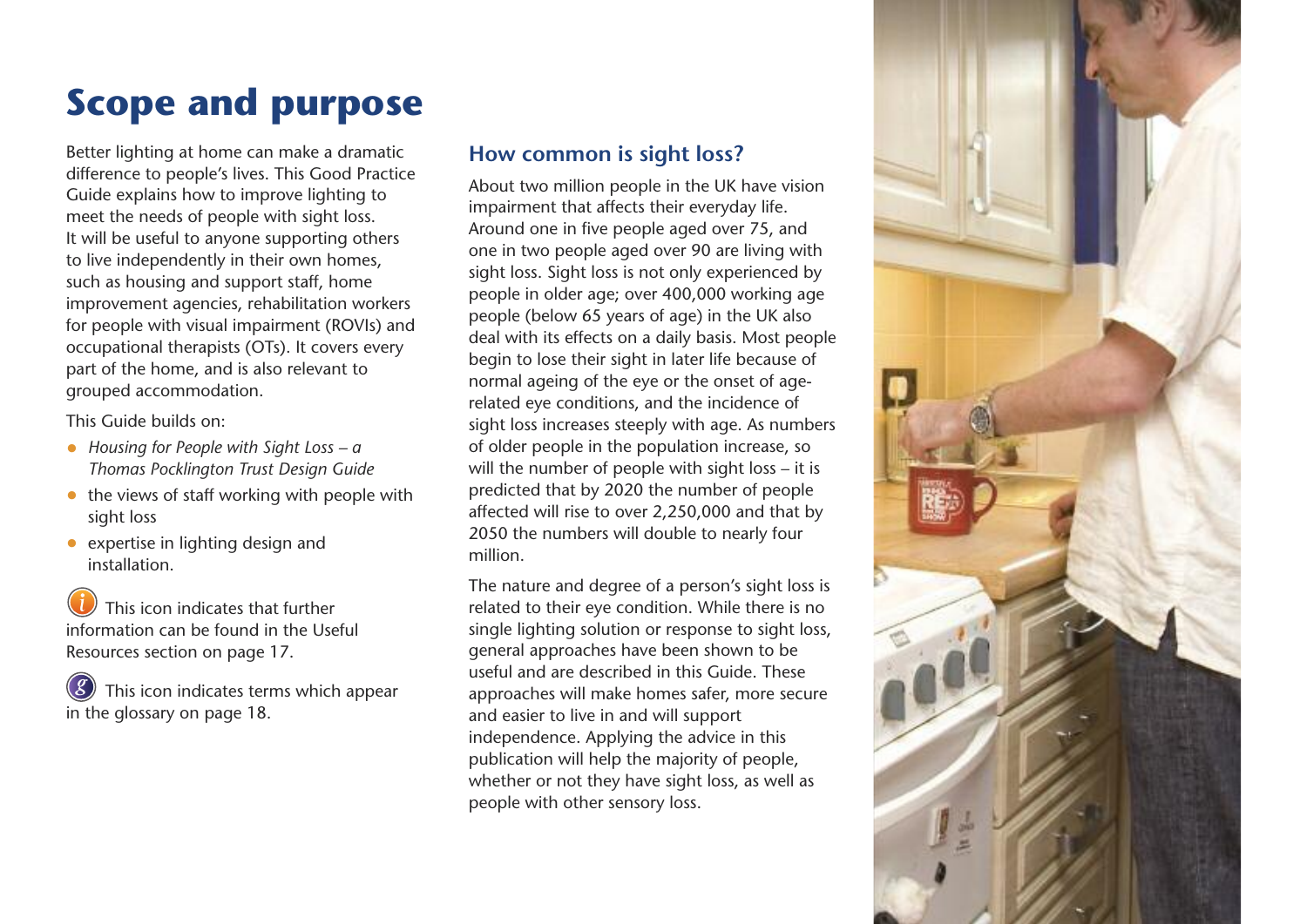# **Scope and purpose**

Better lighting at home can make a dramatic difference to people's lives. This Good Practice Guide explains how to improve lighting to meet the needs of people with sight loss. It will be useful to anyone supporting others to live independently in their own homes, such as housing and support staff, home improvement agencies, rehabilitation workers for people with visual impairment (ROVIs) and occupational therapists (OTs). It covers every part of the home, and is also relevant to grouped accommodation.

This Guide builds on:

- *Housing for People with Sight Loss – a Thomas Pocklington Trust Design Guide*
- the views of staff working with people with sight loss
- expertise in lighting design and installation.

This icon indicates that further information can be found in the Useful Resources section on page 17.

This icon indicates terms which appear in the glossary on page 18. *g*

## **How common is sight loss?**

About two million people in the UK have vision impairment that affects their everyday life. Around one in five people aged over 75, and one in two people aged over 90 are living with sight loss. Sight loss is not only experienced by people in older age; over 400,000 working age people (below 65 years of age) in the UK also deal with its effects on a daily basis. Most people begin to lose their sight in later life because of normal ageing of the eye or the onset of agerelated eye conditions, and the incidence of sight loss increases steeply with age. As numbers of older people in the population increase, so will the number of people with sight loss – it is predicted that by 2020 the number of people affected will rise to over 2,250,000 and that by 2050 the numbers will double to nearly four million.

The nature and degree of a person's sight loss is related to their eye condition. While there is no single lighting solution or response to sight loss, general approaches have been shown to be useful and are described in this Guide. These approaches will make homes safer, more secure and easier to live in and will support independence. Applying the advice in this publication will help the majority of people, whether or not they have sight loss, as well as people with other sensory loss.

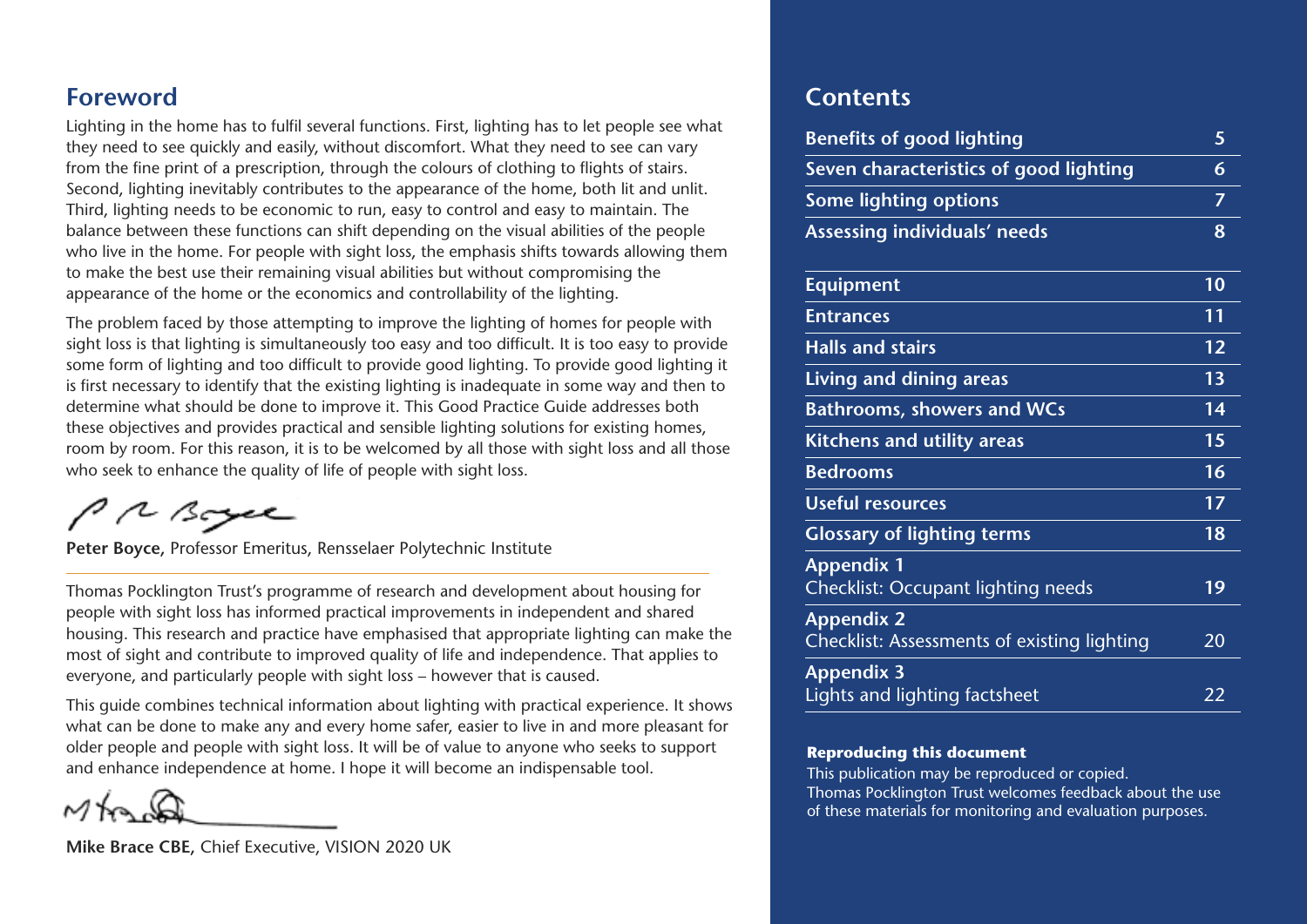## **Foreword**

Lighting in the home has to fulfil several functions. First, lighting has to let people see what they need to see quickly and easily, without discomfort. What they need to see can vary from the fine print of a prescription, through the colours of clothing to flights of stairs. Second, lighting inevitably contributes to the appearance of the home, both lit and unlit. Third, lighting needs to be economic to run, easy to control and easy to maintain. The balance between these functions can shift depending on the visual abilities of the people who live in the home. For people with sight loss, the emphasis shifts towards allowing them to make the best use their remaining visual abilities but without compromising the appearance of the home or the economics and controllability of the lighting.

The problem faced by those attempting to improve the lighting of homes for people with sight loss is that lighting is simultaneously too easy and too difficult. It is too easy to provide some form of lighting and too difficult to provide good lighting. To provide good lighting it is first necessary to identify that the existing lighting is inadequate in some way and then to determine what should be done to improve it. This Good Practice Guide addresses both these objectives and provides practical and sensible lighting solutions for existing homes, room by room. For this reason, it is to be welcomed by all those with sight loss and all those who seek to enhance the quality of life of people with sight loss.

PRBoyce

**Peter Boyce,** Professor Emeritus, Rensselaer Polytechnic Institute

Thomas Pocklington Trust's programme of research and development about housing for people with sight loss has informed practical improvements in independent and shared housing. This research and practice have emphasised that appropriate lighting can make the most of sight and contribute to improved quality of life and independence. That applies to everyone, and particularly people with sight loss – however that is caused.

This guide combines technical information about lighting with practical experience. It shows what can be done to make any and every home safer, easier to live in and more pleasant for older people and people with sight loss. It will be of value to anyone who seeks to support and enhance independence at home. I hope it will become an indispensable tool.

**Mike Brace CBE,** Chief Executive, VISION 2020 UK

## **Contents**

| <b>Benefits of good lighting</b>                                 | 5              |
|------------------------------------------------------------------|----------------|
| Seven characteristics of good lighting                           | 6              |
| <b>Some lighting options</b>                                     | $\overline{7}$ |
| Assessing individuals' needs                                     | 8              |
| <b>Equipment</b>                                                 | 10             |
| <b>Entrances</b>                                                 | 11             |
| <b>Halls and stairs</b>                                          | 12             |
| Living and dining areas                                          | 13             |
| <b>Bathrooms, showers and WCs</b>                                | 14             |
| <b>Kitchens and utility areas</b>                                | 15             |
| <b>Bedrooms</b>                                                  | 16             |
| <b>Useful resources</b>                                          | 17             |
| <b>Glossary of lighting terms</b>                                | 18             |
| <b>Appendix 1</b><br><b>Checklist: Occupant lighting needs</b>   | 19             |
| <b>Appendix 2</b><br>Checklist: Assessments of existing lighting | 20             |
| <b>Appendix 3</b><br>Lights and lighting factsheet               | 22             |

#### **Reproducing this document**

This publication may be reproduced or copied. Thomas Pocklington Trust welcomes feedback about the use of these materials for monitoring and evaluation purposes.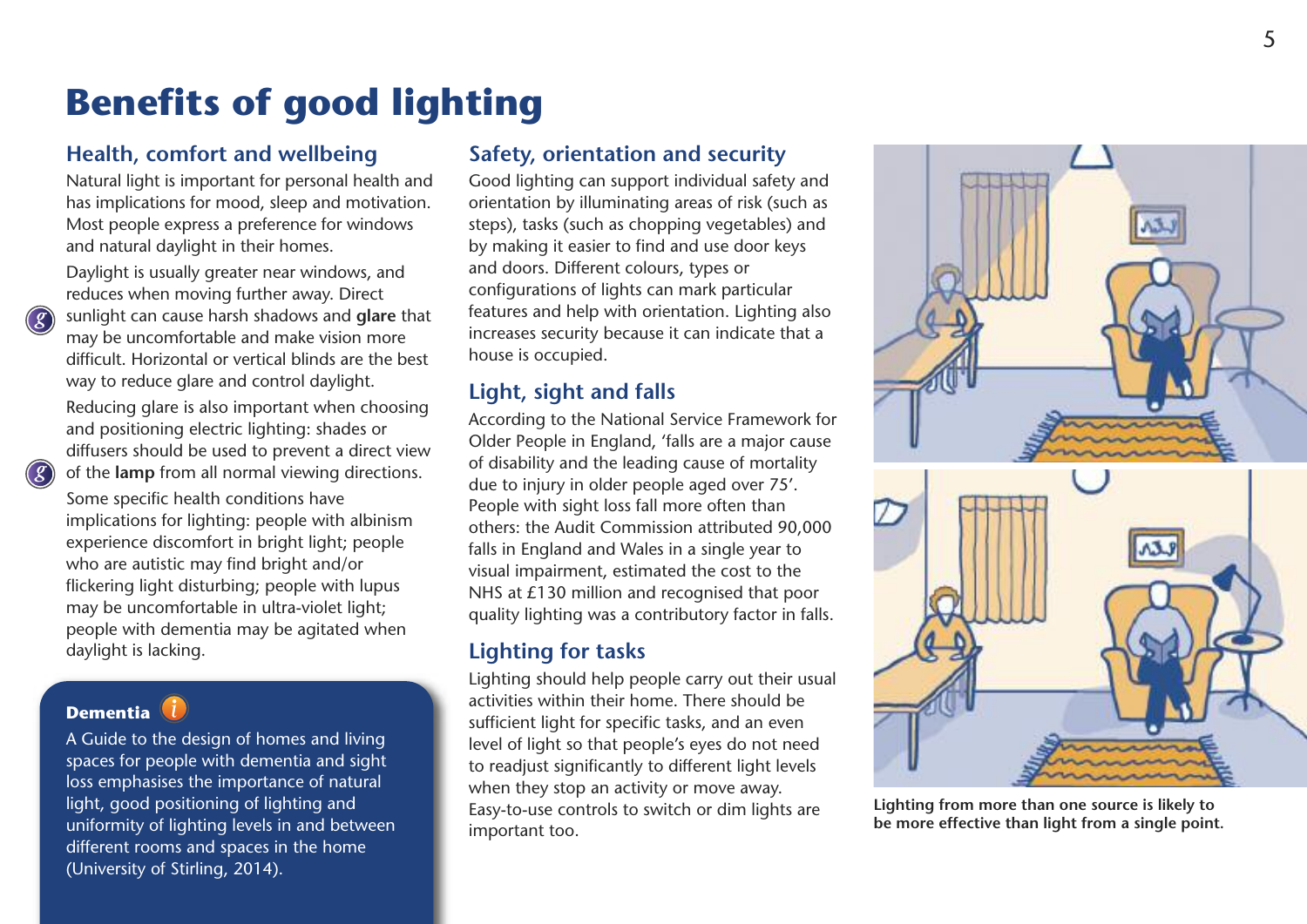## **Benefits of good lighting**

## **Health, comfort and wellbeing**

Natural light is important for personal health and has implications for mood, sleep and motivation. Most people express a preference for windows and natural daylight in their homes.

Daylight is usually greater near windows, and reduces when moving further away. Direct sunlight can cause harsh shadows and **glare** that may be uncomfortable and make vision more difficult. Horizontal or vertical blinds are the best way to reduce glare and control daylight. Reducing glare is also important when choosing and positioning electric lighting: shades or diffusers should be used to prevent a direct view of the **lamp** from all normal viewing directions.

Some specific health conditions have implications for lighting: people with albinism experience discomfort in bright light; people who are autistic may find bright and/or flickering light disturbing; people with lupus may be uncomfortable in ultra-violet light; people with dementia may be agitated when daylight is lacking.

## **Dementia**

*g*

*g*

A Guide to the design of homes and living spaces for people with dementia and sight loss emphasises the importance of natural light, good positioning of lighting and uniformity of lighting levels in and between different rooms and spaces in the home (University of Stirling, 2014).

## **Safety, orientation and security**

Good lighting can support individual safety and orientation by illuminating areas of risk (such as steps), tasks (such as chopping vegetables) and by making it easier to find and use door keys and doors. Different colours, types or configurations of lights can mark particular features and help with orientation. Lighting also increases security because it can indicate that a house is occupied.

## **Light, sight and falls**

According to the National Service Framework for Older People in England, 'falls are a major cause of disability and the leading cause of mortality due to injury in older people aged over 75'. People with sight loss fall more often than others: the Audit Commission attributed 90,000 falls in England and Wales in a single year to visual impairment, estimated the cost to the NHS at £130 million and recognised that poor quality lighting was a contributory factor in falls.

## **Lighting for tasks**

Lighting should help people carry out their usual activities within their home. There should be sufficient light for specific tasks, and an even level of light so that people's eyes do not need to readiust significantly to different light levels when they stop an activity or move away. Easy-to-use controls to switch or dim lights are important too.



**Lighting from more than one source is likely to be more effective than light from a single point.**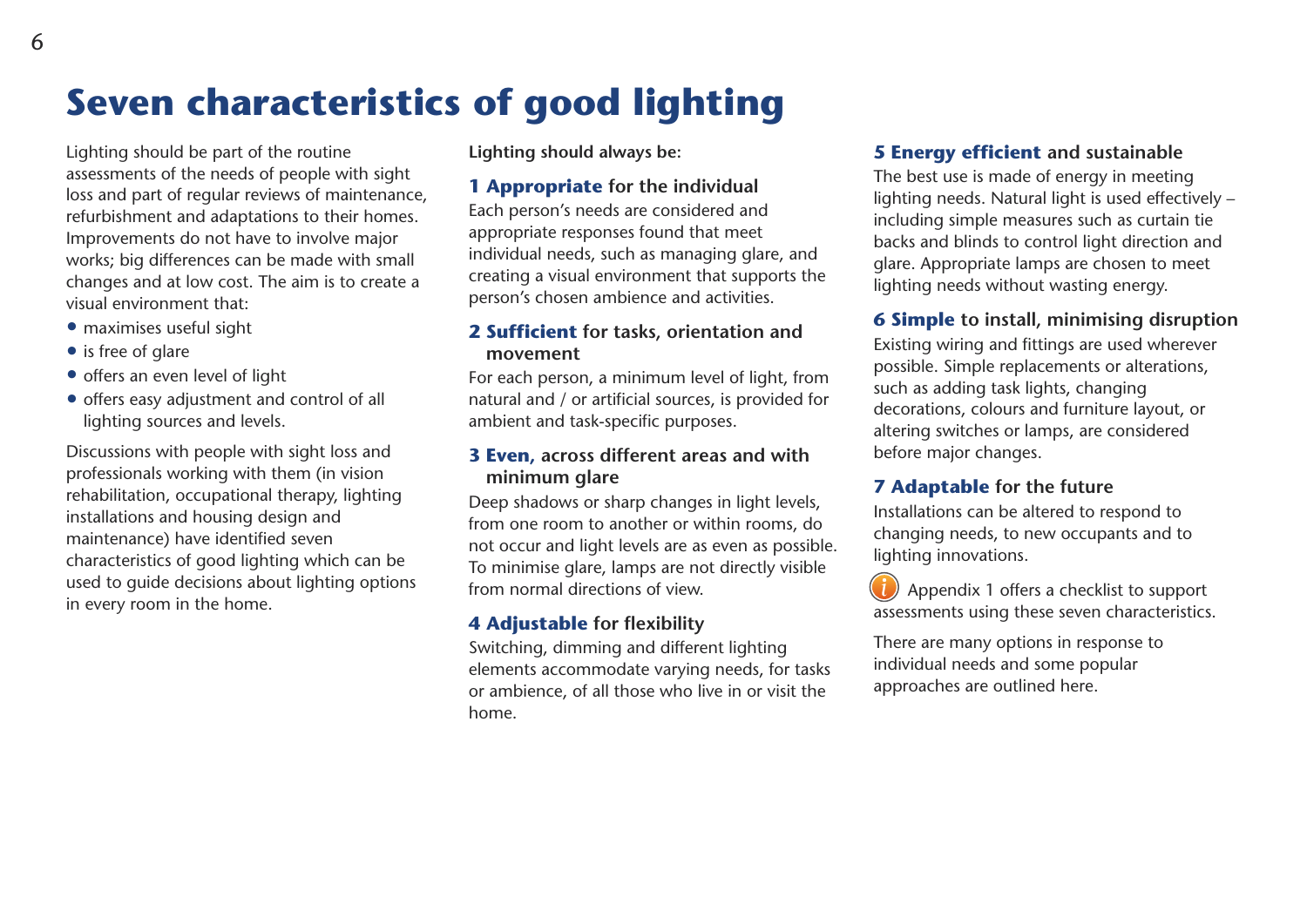Lighting should be part of the routine assessments of the needs of people with sight loss and part of regular reviews of maintenance, refurbishment and adaptations to their homes. Improvements do not have to involve major works; big differences can be made with small changes and at low cost. The aim is to create a visual environment that:

- maximises useful sight
- is free of glare
- offers an even level of light
- offers easy adjustment and control of all lighting sources and levels.

Discussions with people with sight loss and professionals working with them (in vision rehabilitation, occupational therapy, lighting installations and housing design and maintenance) have identified seven characteristics of good lighting which can be used to guide decisions about lighting options in every room in the home.

**Lighting should always be:**

**Seven characteristics of good lighting**

#### **1 Appropriate for the individual**

Each person's needs are considered and appropriate responses found that meet individual needs, such as managing glare, and creating a visual environment that supports the person's chosen ambience and activities.

#### **2 Sufficient for tasks, orientation and movement**

For each person, a minimum level of light, from natural and / or artificial sources, is provided for ambient and task-specific purposes.

#### **3 Even, across different areas and with minimum glare**

Deep shadows or sharp changes in light levels, from one room to another or within rooms, do not occur and light levels are as even as possible. To minimise glare, lamps are not directly visible from normal directions of view.

### **4 Adjustable for flexibility**

Switching, dimming and different lighting elements accommodate varying needs, for tasks or ambience, of all those who live in or visit the home.

#### **5 Energy efficient and sustainable**

The best use is made of energy in meeting lighting needs. Natural light is used effectively – including simple measures such as curtain tie backs and blinds to control light direction and glare. Appropriate lamps are chosen to meet lighting needs without wasting energy.

### **6 Simple to install, minimising disruption**

Existing wiring and fittings are used wherever possible. Simple replacements or alterations, such as adding task lights, changing decorations, colours and furniture layout, or altering switches or lamps, are considered before major changes.

### **7 Adaptable for the future**

Installations can be altered to respond to changing needs, to new occupants and to lighting innovations.

Appendix 1 offers a checklist to support assessments using these seven characteristics.

There are many options in response to individual needs and some popular approaches are outlined here.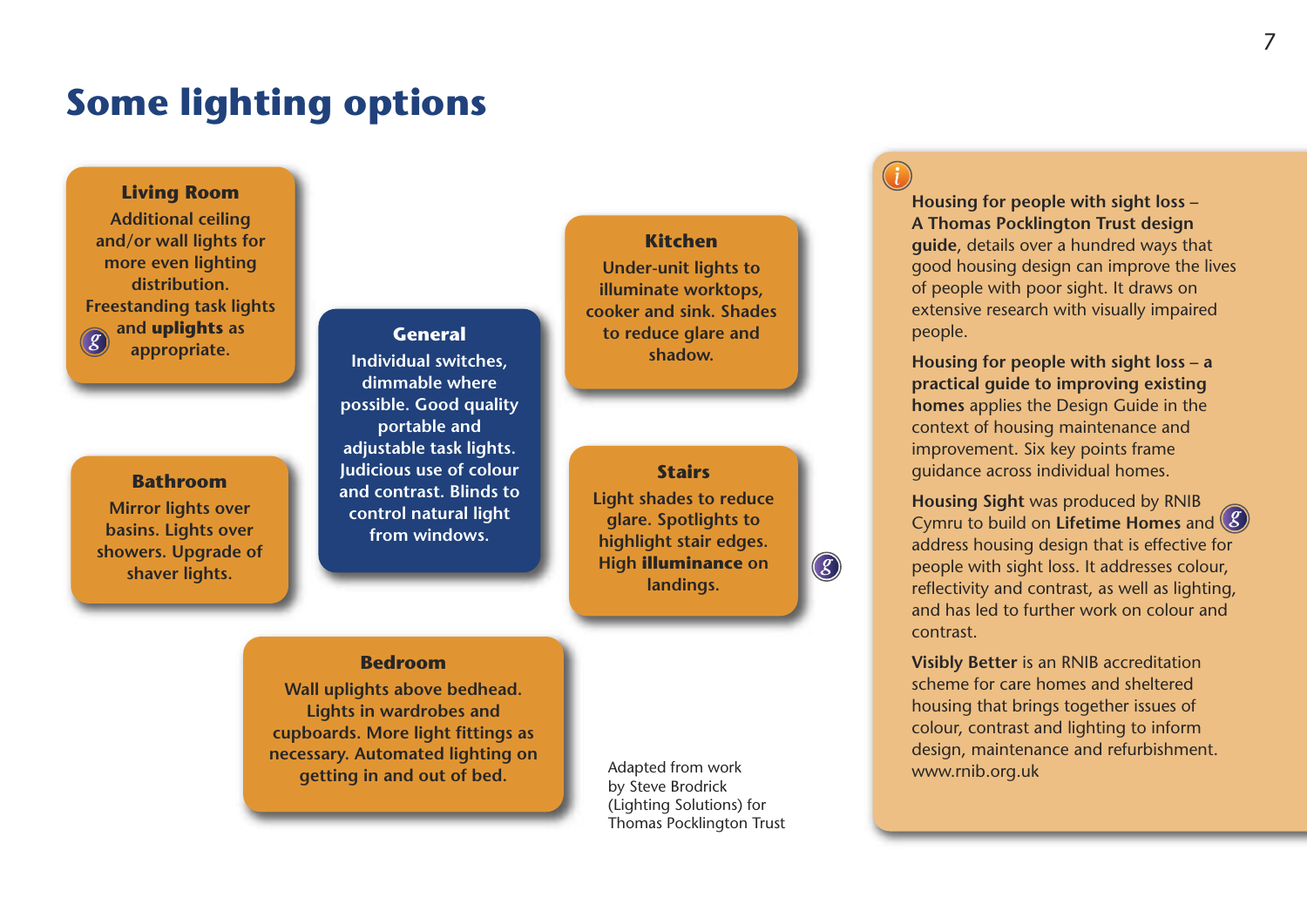## **Some lighting options**

#### **Living Room**

**Additional ceiling and/or wall lights for more even lighting distribution. Freestanding task lights and uplights as appropriate. General** *g*

#### **Bathroom**

**Mirror lights over basins. Lights over showers. Upgrade of shaver lights.**

**Individual switches, dimmable where possible. Good quality portable and adjustable task lights. Judicious use of colour and contrast. Blinds to control natural light from windows.**

#### **Bedroom**

**Wall uplights above bedhead. Lights in wardrobes and cupboards. More light fittings as necessary. Automated lighting on getting in and out of bed.**

**Kitchen**

**Under-unit lights to illuminate worktops, cooker and sink. Shades to reduce glare and shadow.**

**Stairs Light shades to reduce glare. Spotlights to highlight stair edges. High illuminance on landings.**

Adapted from work by Steve Brodrick (Lighting Solutions) for Thomas Pocklington Trust

*g*

**Housing for people with sight loss – A Thomas Pocklington Trust design guide**, details over a hundred ways that good housing design can improve the lives of people with poor sight. It draws on extensive research with visually impaired people.

**Housing for people with sight loss – a practical guide to improving existing homes** applies the Design Guide in the context of housing maintenance and improvement. Six key points frame guidance across individual homes.

**Housing Sight** was produced by RNIB Cymru to build on **Lifetime Homes** and *g* address housing design that is effective for people with sight loss. It addresses colour, reflectivity and contrast, as well as lighting, and has led to further work on colour and contrast.

**Visibly Better** is an RNIB accreditation scheme for care homes and sheltered housing that brings together issues of colour, contrast and lighting to inform design, maintenance and refurbishment. www.rnib.org.uk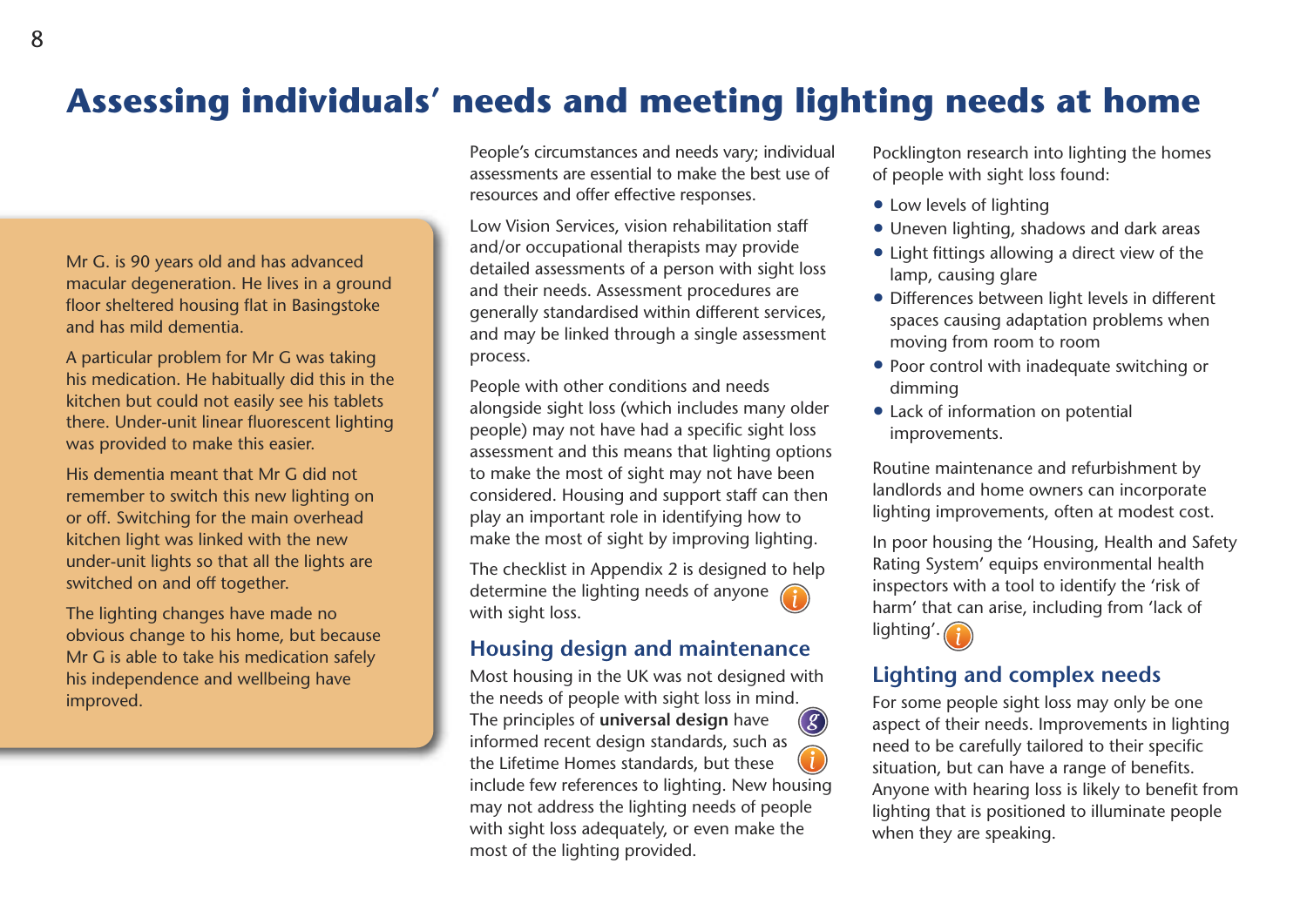## **Assessing individuals' needs and meeting lighting needs at home**

Mr G. is 90 years old and has advanced macular degeneration. He lives in a ground floor sheltered housing flat in Basingstoke and has mild dementia.

A particular problem for Mr G was taking his medication. He habitually did this in the kitchen but could not easily see his tablets there. Under-unit linear fluorescent lighting was provided to make this easier.

His dementia meant that Mr G did not remember to switch this new lighting on or off. Switching for the main overhead kitchen light was linked with the new under-unit lights so that all the lights are switched on and off together.

The lighting changes have made no obvious change to his home, but because Mr G is able to take his medication safely his independence and wellbeing have improved.

People's circumstances and needs vary; individual assessments are essential to make the best use of resources and offer effective responses.

Low Vision Services, vision rehabilitation staff and/or occupational therapists may provide detailed assessments of a person with sight loss and their needs. Assessment procedures are generally standardised within different services, and may be linked through a single assessment process.

People with other conditions and needs alongside sight loss (which includes many older people) may not have had a specific sight loss assessment and this means that lighting options to make the most of sight may not have been considered. Housing and support staff can then play an important role in identifying how to make the most of sight by improving lighting.

The checklist in Appendix 2 is designed to help determine the lighting needs of anyone with sight loss.

## **Housing design and maintenance**

Most housing in the UK was not designed with the needs of people with sight loss in mind. The principles of **universal design** have informed recent design standards, such as the Lifetime Homes standards, but these include few references to lighting. New housing may not address the lighting needs of people with sight loss adequately, or even make the most of the lighting provided. *g*

Pocklington research into lighting the homes of people with sight loss found:

- Low levels of lighting
- Uneven lighting, shadows and dark areas
- Light fittings allowing a direct view of the lamp, causing glare
- Differences between light levels in different spaces causing adaptation problems when moving from room to room
- Poor control with inadequate switching or dimming
- Lack of information on potential improvements.

Routine maintenance and refurbishment by landlords and home owners can incorporate lighting improvements, often at modest cost.

In poor housing the 'Housing, Health and Safety Rating System' equips environmental health inspectors with a tool to identify the 'risk of harm' that can arise, including from 'lack of lighting'.

## **Lighting and complex needs**

For some people sight loss may only be one aspect of their needs. Improvements in lighting need to be carefully tailored to their specific situation, but can have a range of benefits. Anyone with hearing loss is likely to benefit from lighting that is positioned to illuminate people when they are speaking.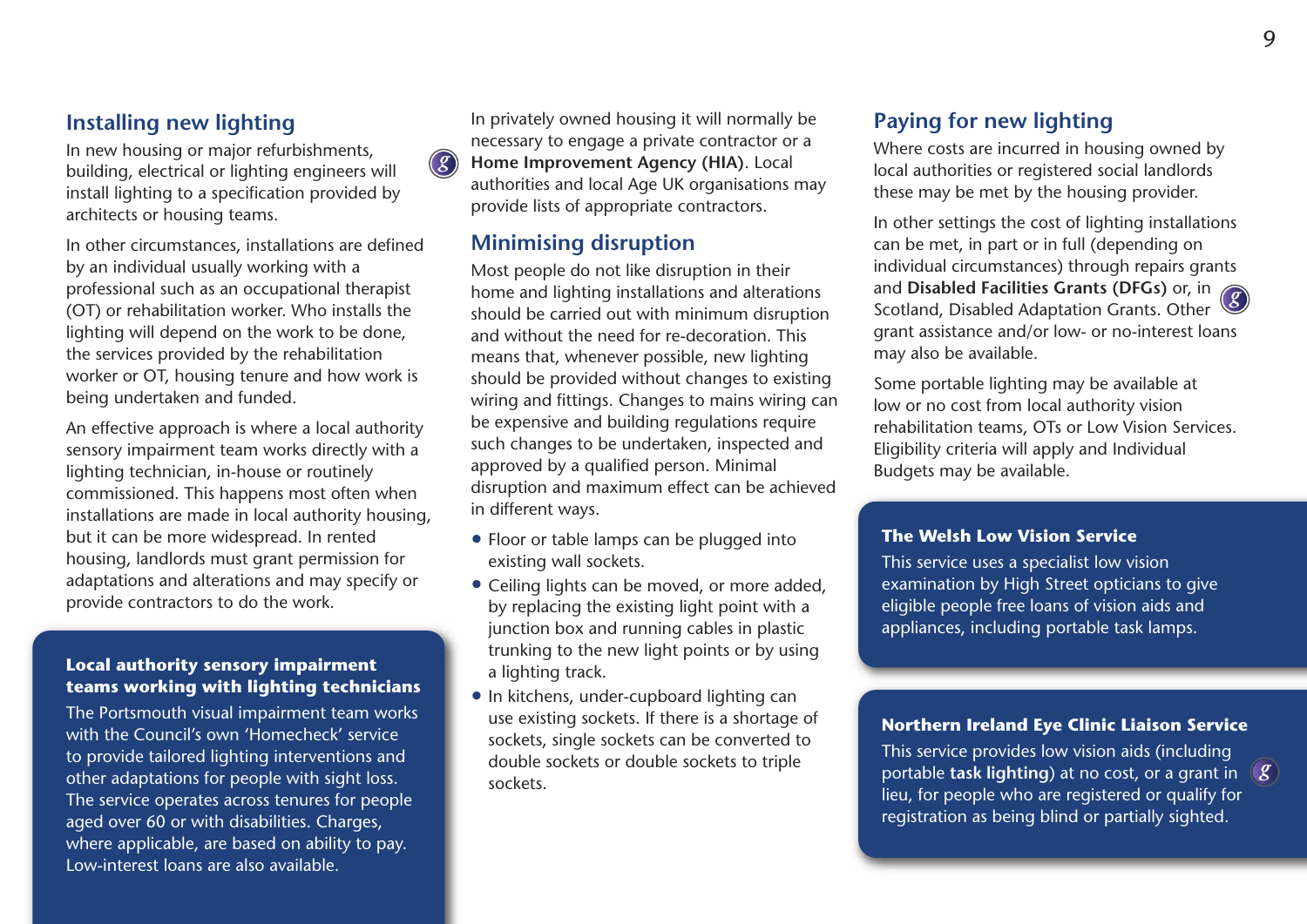### **Installing new lighting**

In new housing or major refurbishments, building, electrical or lighting engineers will install lighting to a specification provided by architects or housing teams.

In other circumstances, installations are defined by an individual usually working with a professional such as an occupational therapist (OT) or rehabilitation worker. Who installs the lighting will depend on the work to be done, the services provided by the rehabilitation worker or OT, housing tenure and how work is being undertaken and funded.

An effective approach is where a local authority sensory impairment team works directly with a lighting technician, in-house or routinely commissioned. This happens most often when installations are made in local authority housing, but it can be more widespread. In rented housing, landlords must grant permission for adaptations and alterations and may specify or provide contractors to do the work.

#### **Local authority sensory impairment teams working with lighting technicians**

The Portsmouth visual impairment team works with the Council's own 'Homecheck' service to provide tailored lighting interventions and other adaptations for people with sight loss. The service operates across tenures for people aged over 60 or with disabilities. Charges, where applicable, are based on ability to pay. Low-interest loans are also available.

In privately owned housing it will normally be necessary to engage a private contractor or a **Home Improvement Agency (HIA)**. Local authorities and local Age UK organisations may provide lists of appropriate contractors.

## **Minimising disruption**

*g*

Most people do not like disruption in their home and lighting installations and alterations should be carried out with minimum disruption and without the need for re-decoration. This means that, whenever possible, new lighting should be provided without changes to existing wiring and fittings. Changes to mains wiring can be expensive and building regulations require such changes to be undertaken, inspected and approved by a qualified person. Minimal disruption and maximum effect can be achieved in different ways.

- Floor or table lamps can be plugged into existing wall sockets.
- Ceiling lights can be moved, or more added, by replacing the existing light point with a junction box and running cables in plastic trunking to the new light points or by using a lighting track.
- In kitchens, under-cupboard lighting can use existing sockets. If there is a shortage of sockets, single sockets can be converted to double sockets or double sockets to triple sockets.

## **Paying for new lighting**

Where costs are incurred in housing owned by local authorities or registered social landlords these may be met by the housing provider.

In other settings the cost of lighting installations can be met, in part or in full (depending on individual circumstances) through repairs grants and **Disabled Facilities Grants (DFGs)** or, in *g* Scotland, Disabled Adaptation Grants. Other grant assistance and/or low- or no-interest loans may also be available.

Some portable lighting may be available at low or no cost from local authority vision rehabilitation teams, OTs or Low Vision Services. Eligibility criteria will apply and Individual Budgets may be available.

#### **The Welsh Low Vision Service**

This service uses a specialist low vision examination by High Street opticians to give eligible people free loans of vision aids and appliances, including portable task lamps.

#### **Northern Ireland Eye Clinic Liaison Service**

This service provides low vision aids (including portable **task lighting**) at no cost, or a grant in *g* lieu, for people who are registered or qualify for registration as being blind or partially sighted.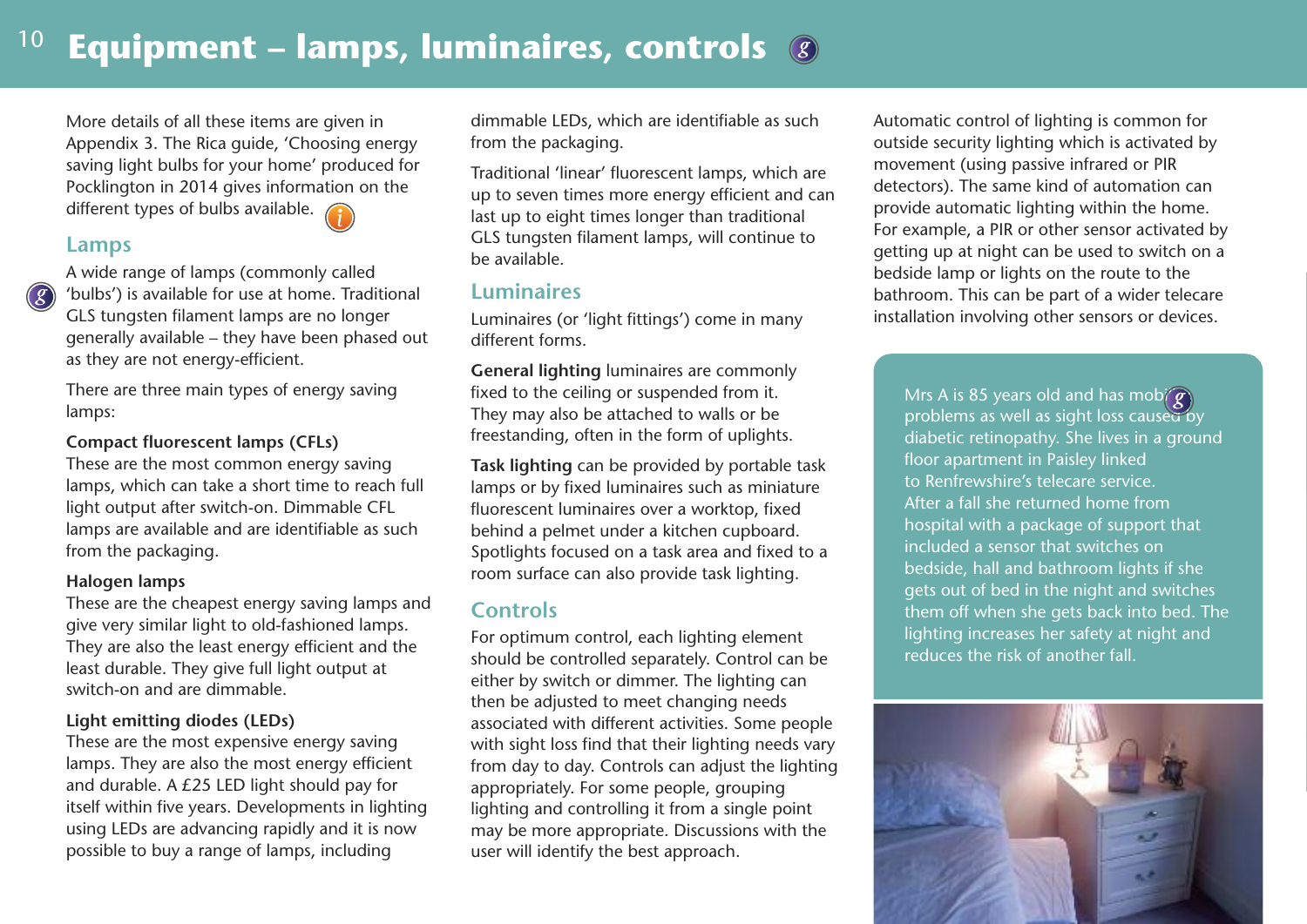## <sup>10</sup> Equipment – lamps, luminaires, controls &

More details of all these items are given in Appendix 3. The Rica guide, 'Choosing energy saving light bulbs for your home' produced for Pocklington in 2014 gives information on the different types of bulbs available.

#### **Lamps**

*g*

A wide range of lamps (commonly called 'bulbs') is available for use at home. Traditional GLS tungsten filament lamps are no longer generally available – they have been phased out as they are not energy-efficient.

There are three main types of energy saving lamps:

#### **Compact fluorescent lamps (CFLs)**

These are the most common energy saving lamps, which can take a short time to reach full light output after switch-on. Dimmable CFL lamps are available and are identifiable as such from the packaging.

#### **Halogen lamps**

These are the cheapest energy saving lamps and give very similar light to old-fashioned lamps. They are also the least energy efficient and the least durable. They give full light output at switch-on and are dimmable.

#### **Light emitting diodes (LEDs)**

These are the most expensive energy saving lamps. They are also the most energy efficient and durable. A £25 LED light should pay for itself within five years. Developments in lighting using LEDs are advancing rapidly and it is now possible to buy a range of lamps, including

dimmable LEDs, which are identifiable as such from the packaging.

Traditional 'linear' fluorescent lamps, which are up to seven times more energy efficient and can last up to eight times longer than traditional GLS tungsten filament lamps, will continue to be available.

### **Luminaires**

Luminaires (or 'light fittings') come in many different forms.

**General lighting** luminaires are commonly fixed to the ceiling or suspended from it. They may also be attached to walls or be freestanding, often in the form of uplights.

**Task lighting** can be provided by portable task lamps or by fixed luminaires such as miniature fluorescent luminaires over a worktop, fixed behind a pelmet under a kitchen cupboard. Spotlights focused on a task area and fixed to a room surface can also provide task lighting.

## **Controls**

For optimum control, each lighting element should be controlled separately. Control can be either by switch or dimmer. The lighting can then be adjusted to meet changing needs associated with different activities. Some people with sight loss find that their lighting needs vary from day to day. Controls can adjust the lighting appropriately. For some people, grouping lighting and controlling it from a single point may be more appropriate. Discussions with the user will identify the best approach.

Automatic control of lighting is common for outside security lighting which is activated by movement (using passive infrared or PIR detectors). The same kind of automation can provide automatic lighting within the home. For example, a PIR or other sensor activated by getting up at night can be used to switch on a bedside lamp or lights on the route to the bathroom. This can be part of a wider telecare installation involving other sensors or devices.

Mrs A is 85 years old and has mob $\langle \overline{g}\rangle$ problems as well as sight loss caused by diabetic retinopathy. She lives in a ground floor apartment in Paisley linked to Renfrewshire's telecare service. After a fall she returned home from hospital with a package of support that included a sensor that switches on bedside, hall and bathroom lights if she gets out of bed in the night and switches them off when she gets back into bed. The lighting increases her safety at night and reduces the risk of another fall.

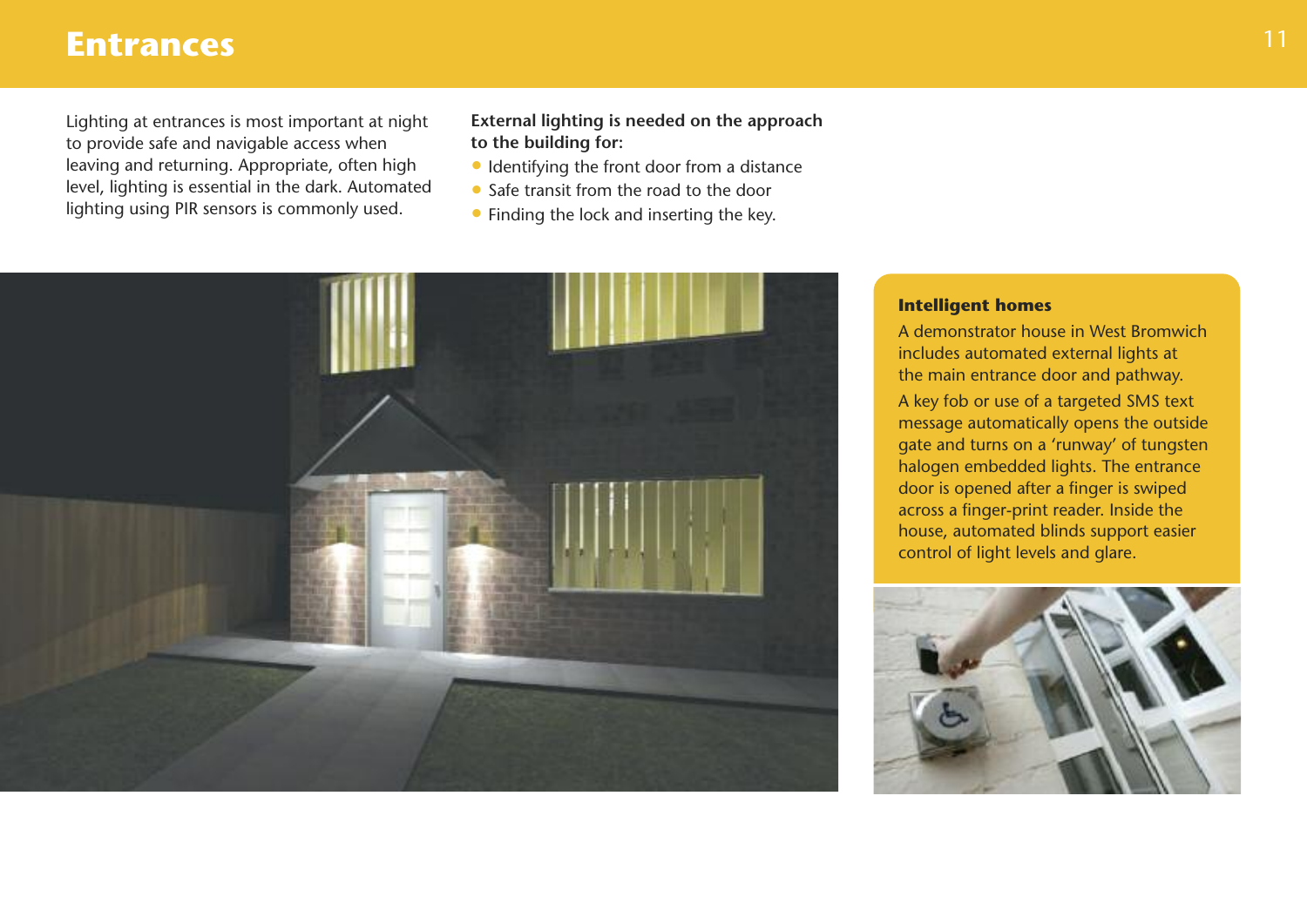## **Entrances**

Lighting at entrances is most important at night to provide safe and navigable access when leaving and returning. Appropriate, often high level, lighting is essential in the dark. Automated lighting using PIR sensors is commonly used.

#### **External lighting is needed on the approach to the building for:**

- Identifying the front door from a distance
- Safe transit from the road to the door
- Finding the lock and inserting the key.



### **Intelligent homes**

A demonstrator house in West Bromwich includes automated external lights at the main entrance door and pathway.

A key fob or use of a targeted SMS text message automatically opens the outside gate and turns on a 'runway' of tungsten halogen embedded lights. The entrance door is opened after a finger is swiped across a finger-print reader. Inside the house, automated blinds support easier control of light levels and glare.

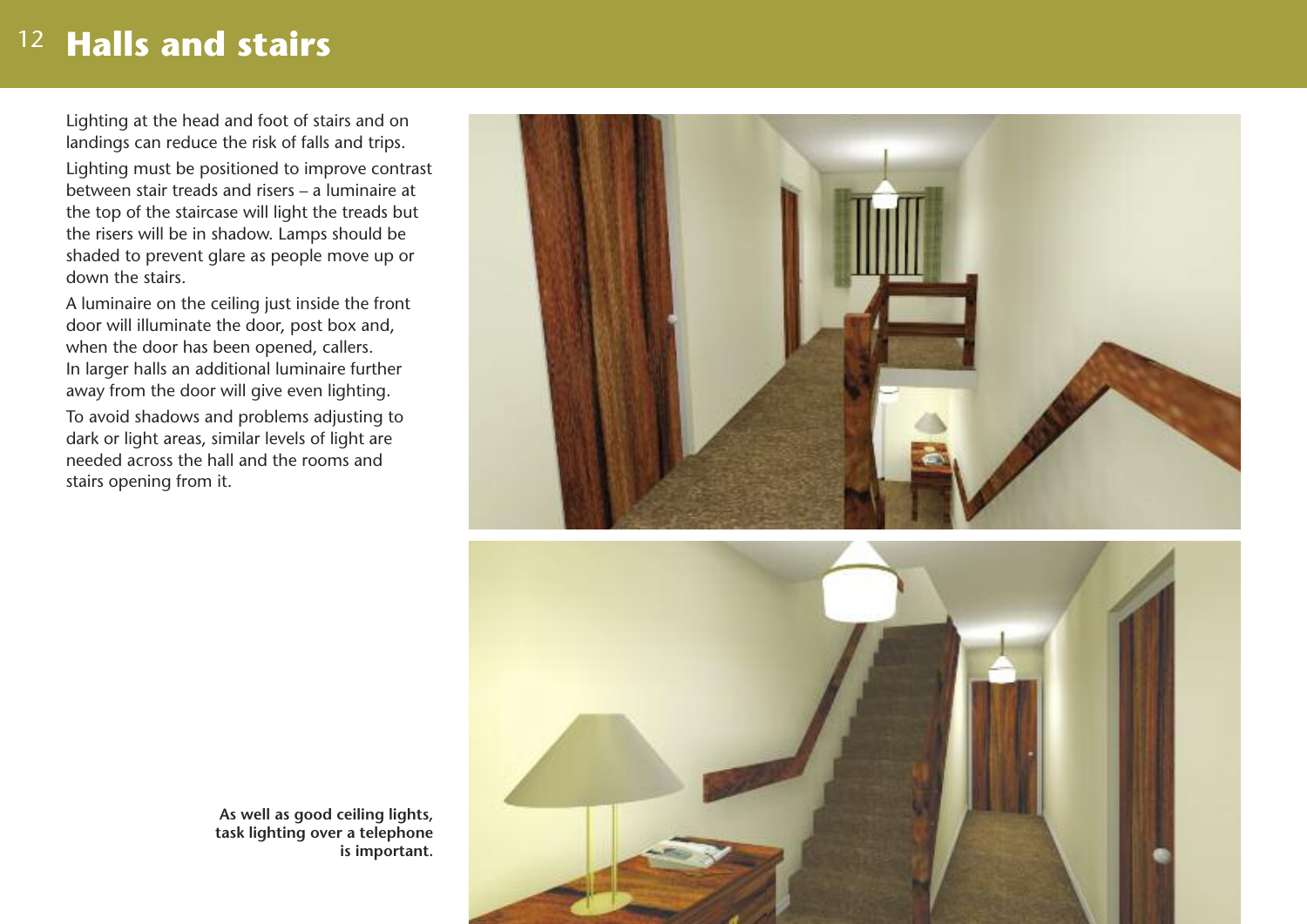## 12 **Halls and stairs**

Lighting at the head and foot of stairs and on landings can reduce the risk of falls and trips.

Lighting must be positioned to improve contrast between stair treads and risers – a luminaire at the top of the staircase will light the treads but the risers will be in shadow. Lamps should be shaded to prevent glare as people move up or down the stairs.

A luminaire on the ceiling just inside the front door will illuminate the door, post box and, when the door has been opened, callers. In larger halls an additional luminaire further away from the door will give even lighting. To avoid shadows and problems adjusting to dark or light areas, similar levels of light are needed across the hall and the rooms and stairs opening from it.





**As well as good ceiling lights, task lighting over a telephone is important.**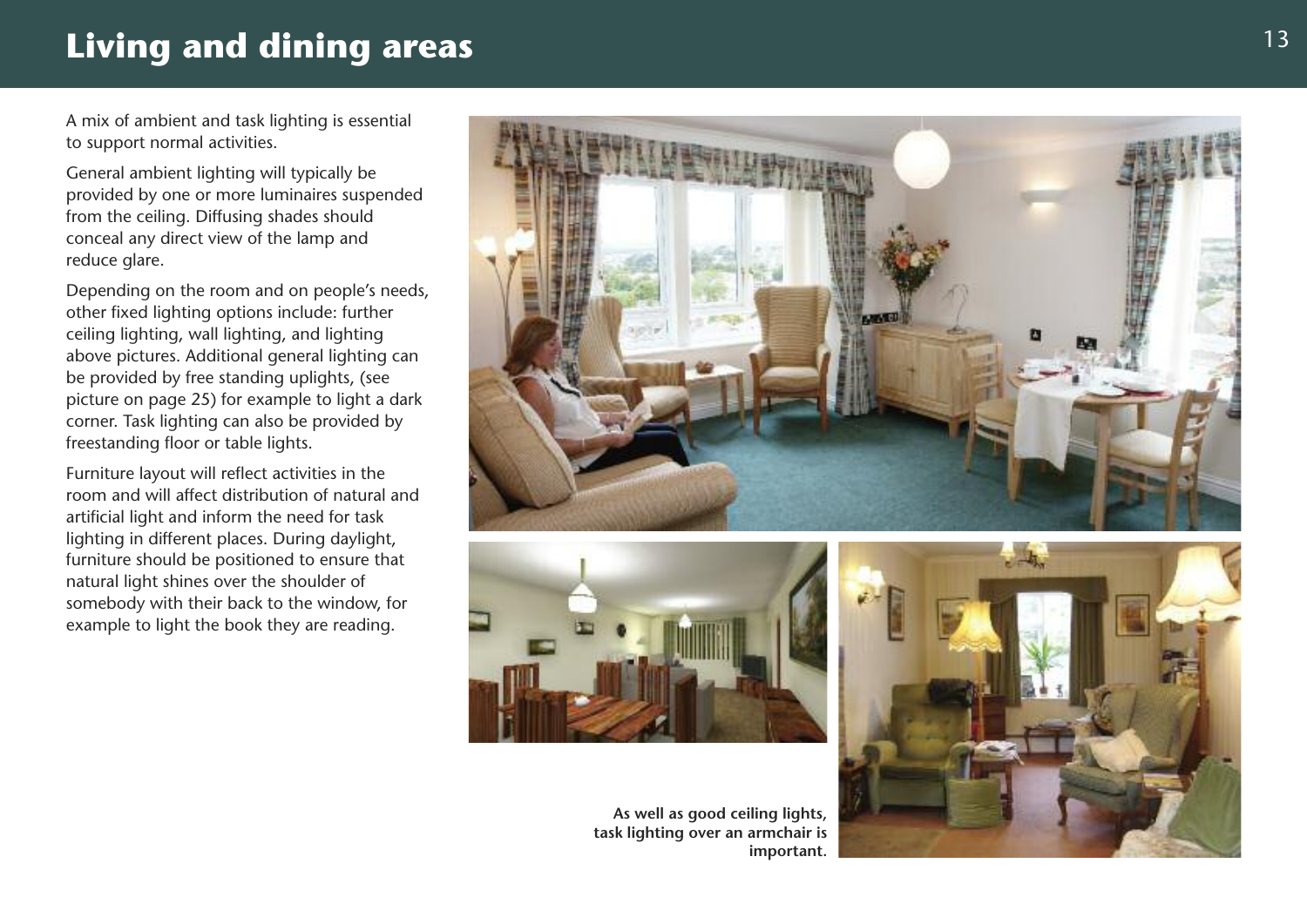## Living and dining areas

A mix of ambient and task lighting is essential to support normal activities.

General ambient lighting will typically be provided by one or more luminaires suspended from the ceiling. Diffusing shades should conceal any direct view of the lamp and reduce glare.

Depending on the room and on people's needs, other fixed lighting options include: further ceiling lighting, wall lighting, and lighting above pictures. Additional general lighting can be provided by free standing uplights, (see picture on page 25) for example to light a dark corner. Task lighting can also be provided by freestanding floor or table lights.

Furniture layout will reflect activities in the room and will affect distribution of natural and artificial light and inform the need for task lighting in different places. During daylight, furniture should be positioned to ensure that natural light shines over the shoulder of somebody with their back to the window, for example to light the book they are reading.





As well as good ceiling lights, task lighting over an armchair is important.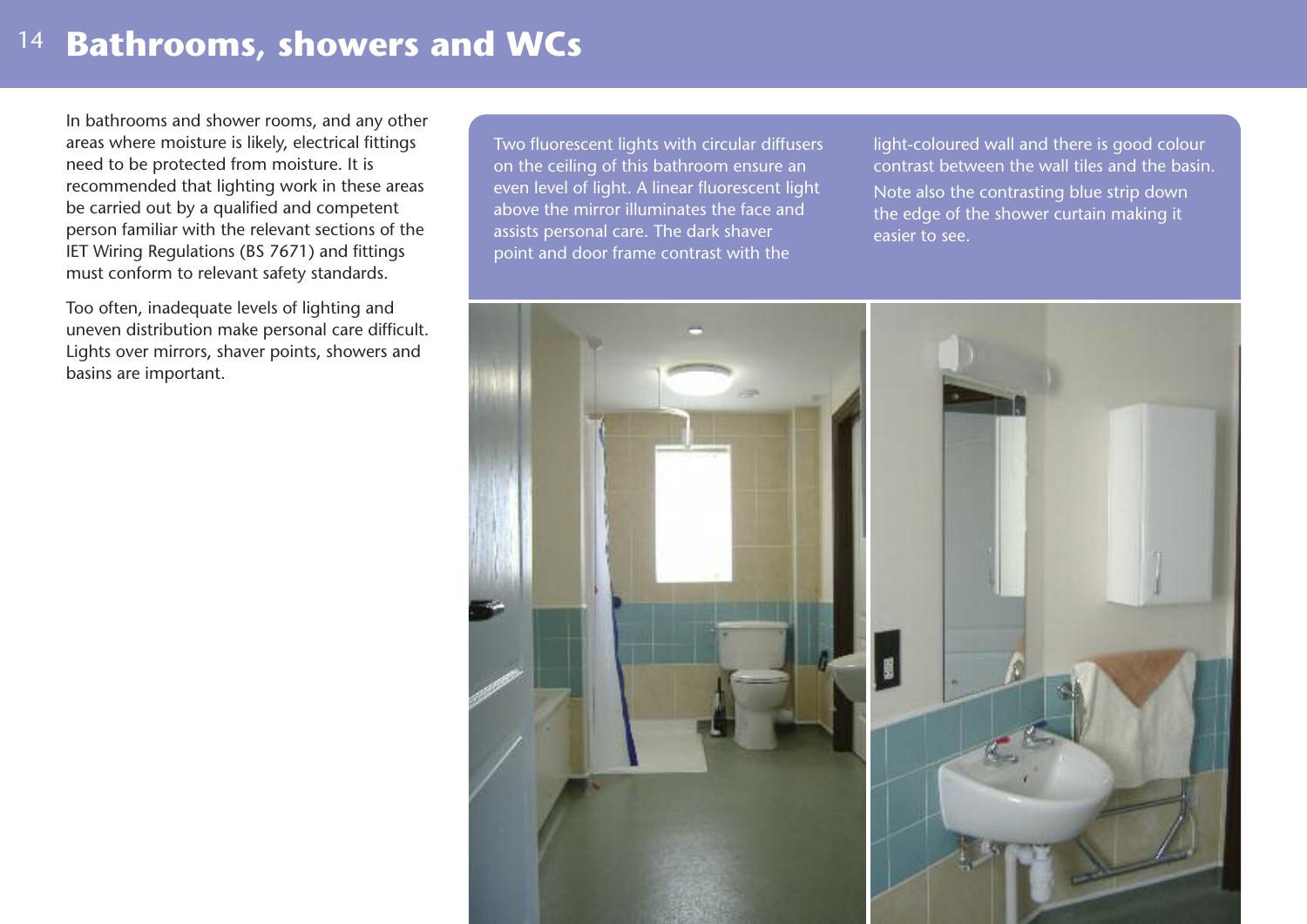## **Bathrooms, showers and WCs** <sup>14</sup>

In bathrooms and shower rooms, and any other areas where moisture is likely, electrical fittings need to be protected from moisture. It is recommended that lighting work in these areas be carried out by a qualified and competent person familiar with the relevant sections of the IET Wiring Regulations (BS 7671) and fittings must conform to relevant safety standards.

Too often, inadequate levels of lighting and uneven distribution make personal care difficult. Lights over mirrors, shaver points, showers and basins are important.

Two fluorescent lights with circular diffusers on the ceiling of this bathroom ensure an even level of light. A linear fluorescent light above the mirror illuminates the face and assists personal care. The dark shaver point and door frame contrast with the

light-coloured wall and there is good colour contrast between the wall tiles and the basin. Note also the contrasting blue strip down the edge of the shower curtain making it easier to see.

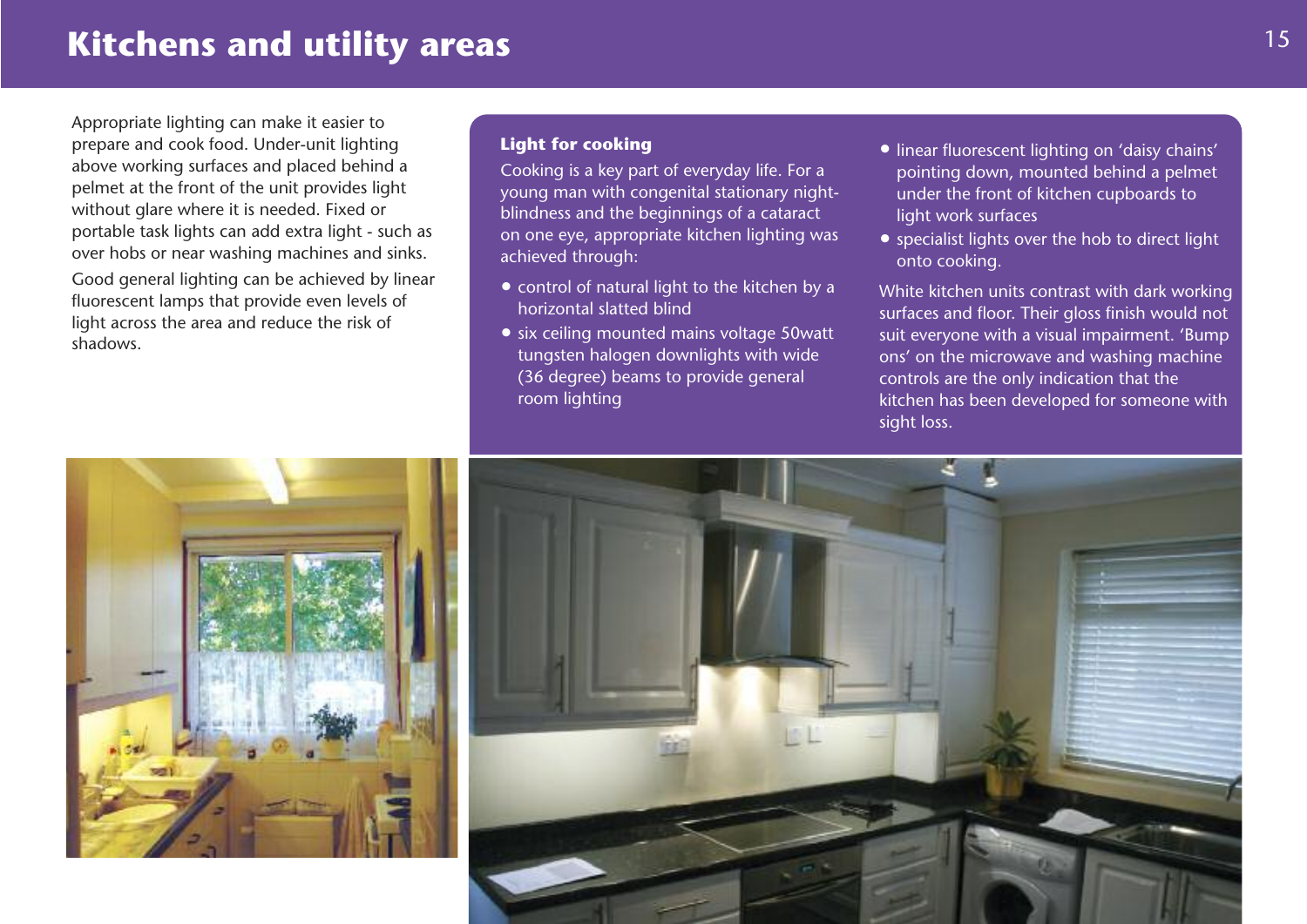## **Kitchens and utility areas**

Appropriate lighting can make it easier to prepare and cook food. Under-unit lighting above working surfaces and placed behind a pelmet at the front of the unit provides light without glare where it is needed. Fixed or portable task lights can add extra light - such as over hobs or near washing machines and sinks.

Good general lighting can be achieved by linear fluorescent lamps that provide even levels of light across the area and reduce the risk of shadows.

#### **Light for cooking**

Cooking is a key part of everyday life. For a young man with congenital stationary nightblindness and the beginnings of a cataract on one eye, appropriate kitchen lighting was achieved through:

- control of natural light to the kitchen by a horizontal slatted blind
- six ceiling mounted mains voltage 50watt tungsten halogen downlights with wide (36 degree) beams to provide general room lighting
- linear fluorescent lighting on 'daisy chains' pointing down, mounted behind a pelmet under the front of kitchen cupboards to light work surfaces
- specialist lights over the hob to direct light onto cooking.

White kitchen units contrast with dark working surfaces and floor. Their gloss finish would not suit everyone with a visual impairment. 'Bump ons' on the microwave and washing machine controls are the only indication that the kitchen has been developed for someone with sight loss.



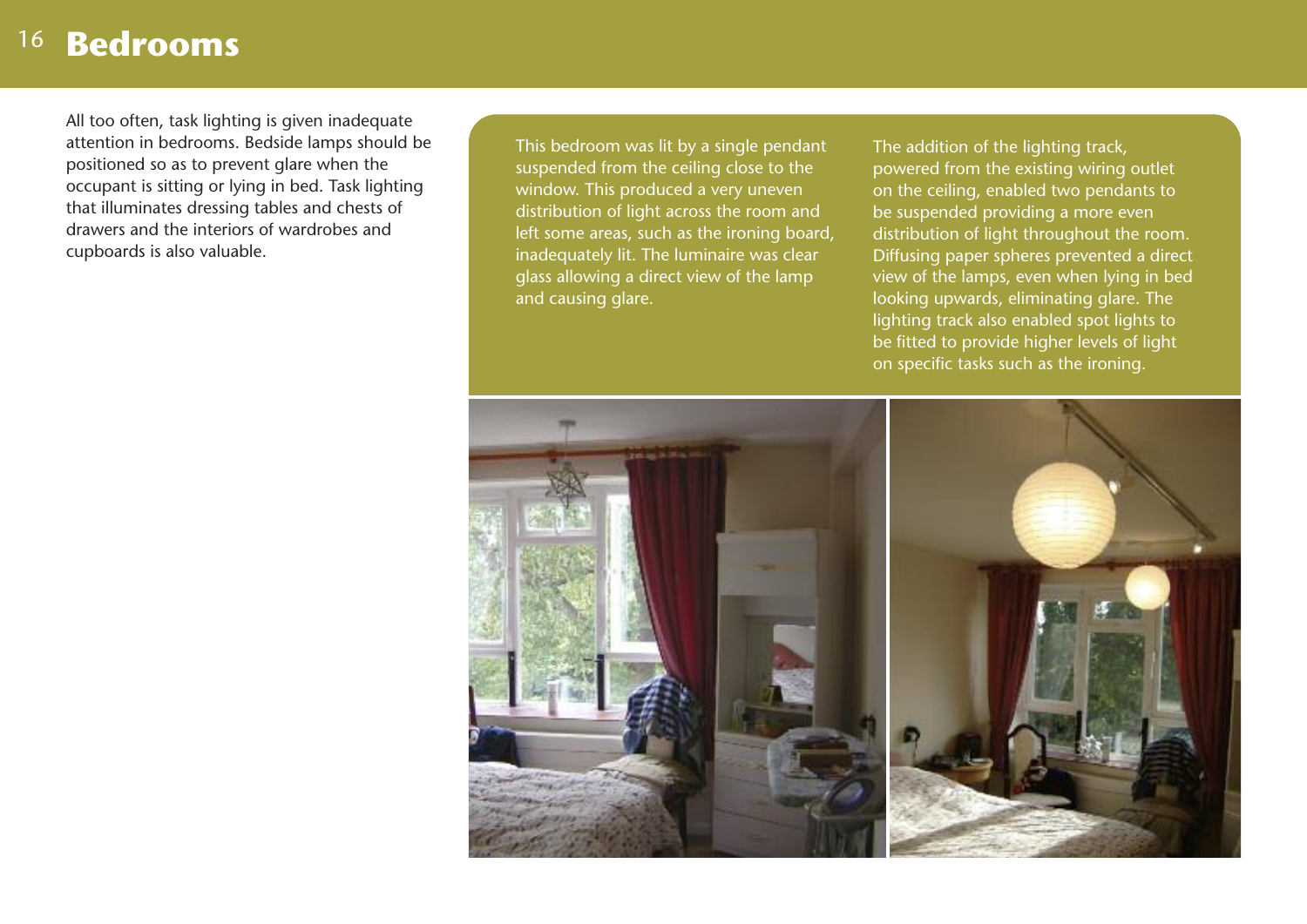## 16 **Bedrooms**

All too often, task lighting is given inadequate attention in bedrooms. Bedside lamps should be positioned so as to prevent glare when the occupant is sitting or lying in bed. Task lighting that illuminates dressing tables and chests of drawers and the interiors of wardrobes and cupboards is also valuable.

This bedroom was lit by a single pendant suspended from the ceiling close to the window. This produced a very uneven distribution of light across the room and left some areas, such as the ironing board, inadequately lit. The luminaire was clear glass allowing a direct view of the lamp and causing glare.

The addition of the lighting track. powered from the existing wiring outlet on the ceiling, enabled two pendants to be suspended providing a more even distribution of light throughout the room. Diffusing paper spheres prevented a direct view of the lamps, even when lying in bed looking upwards, eliminating glare. The lighting track also enabled spot lights to be fitted to provide higher levels of light on specific tasks such as the ironing.

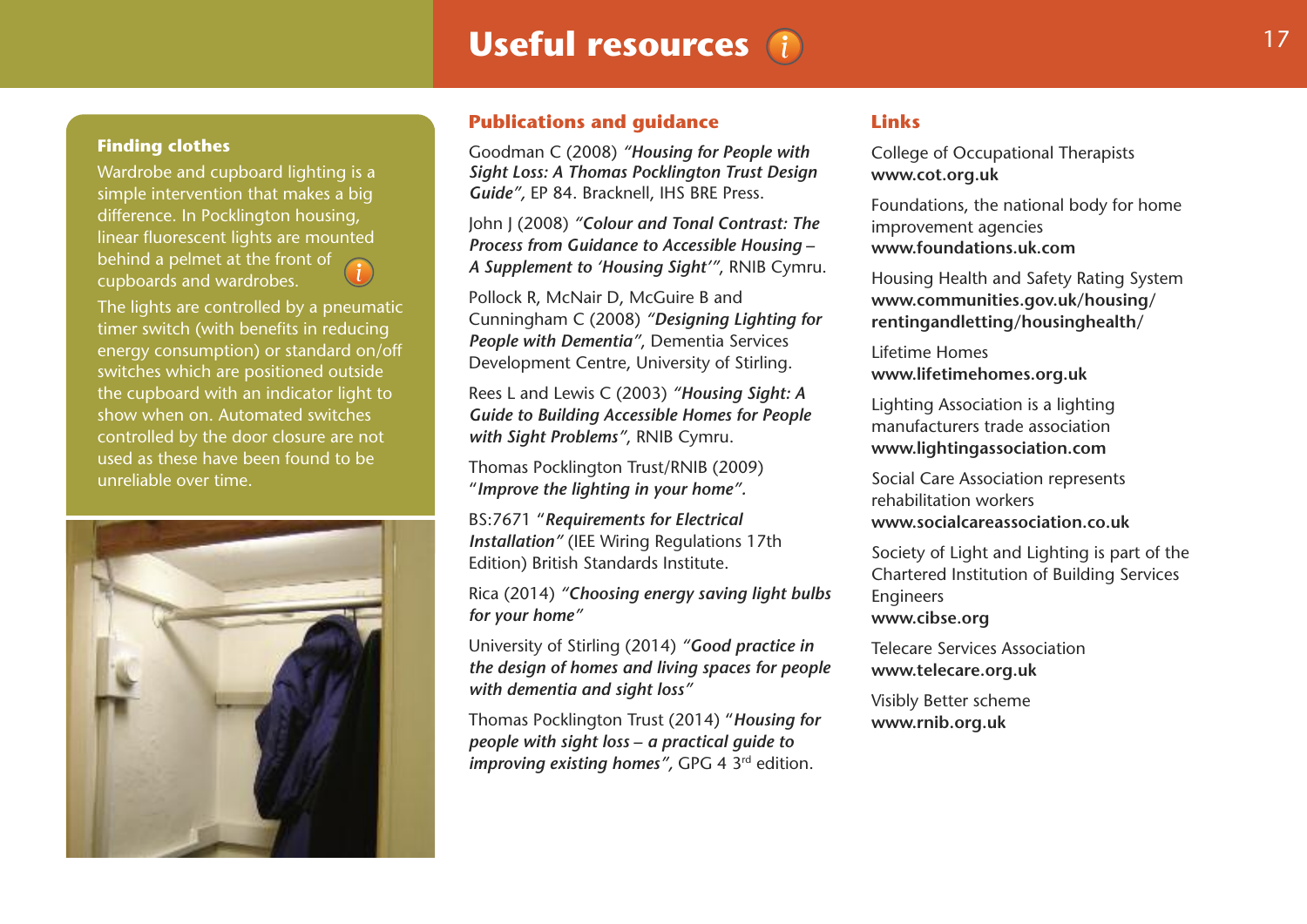## **Useful resources** (i) 17

#### **Finding clothes**

Wardrobe and cupboard lighting is a simple intervention that makes a big difference. In Pocklington housing, linear fluorescent lights are mounted behind a pelmet at the front of cupboards and wardrobes.

The lights are controlled by a pneumatic timer switch (with benefits in reducing energy consumption) or standard on/off switches which are positioned outside the cupboard with an indicator light to show when on. Automated switches controlled by the door closure are not used as these have been found to be unreliable over time.



#### **Publications and guidance**

Goodman C (2008) *"Housing for People with Sight Loss: A Thomas Pocklington Trust Design Guide",* EP 84. Bracknell, IHS BRE Press.

John J (2008) *"Colour and Tonal Contrast: The Process from Guidance to Accessible Housing – A Supplement to 'Housing Sight'"*, RNIB Cymru.

Pollock R, McNair D, McGuire B and Cunningham C (2008) *"Designing Lighting for People with Dementia"*, Dementia Services Development Centre, University of Stirling.

Rees L and Lewis C (2003) *"Housing Sight: A Guide to Building Accessible Homes for People with Sight Problems"*, RNIB Cymru.

Thomas Pocklington Trust/RNIB (2009) "*Improve the lighting in your home".*

BS:7671 "*Requirements for Electrical Installation"* (IEE Wiring Regulations 17th Edition) British Standards Institute.

Rica (2014) *"Choosing energy saving light bulbs for your home"*

University of Stirling (2014) *"Good practice in the design of homes and living spaces for people with dementia and sight loss"*

Thomas Pocklington Trust (2014) "*Housing for people with sight loss – a practical guide to improving existing homes"*, GPG 4 3<sup>rd</sup> edition.

#### **Links**

College of Occupational Therapists **www.cot.org.uk**

Foundations, the national body for home improvement agencies **www.foundations.uk.com**

Housing Health and Safety Rating System **www.communities.gov.uk/housing/ rentingandletting/housinghealth/**

Lifetime Homes **www.lifetimehomes.org.uk**

Lighting Association is a lighting manufacturers trade association **www.lightingassociation.com**

Social Care Association represents rehabilitation workers **www.socialcareassociation.co.uk**

Society of Light and Lighting is part of the Chartered Institution of Building Services Engineers **www.cibse.org**

Telecare Services Association **www.telecare.org.uk**

Visibly Better scheme **www.rnib.org.uk**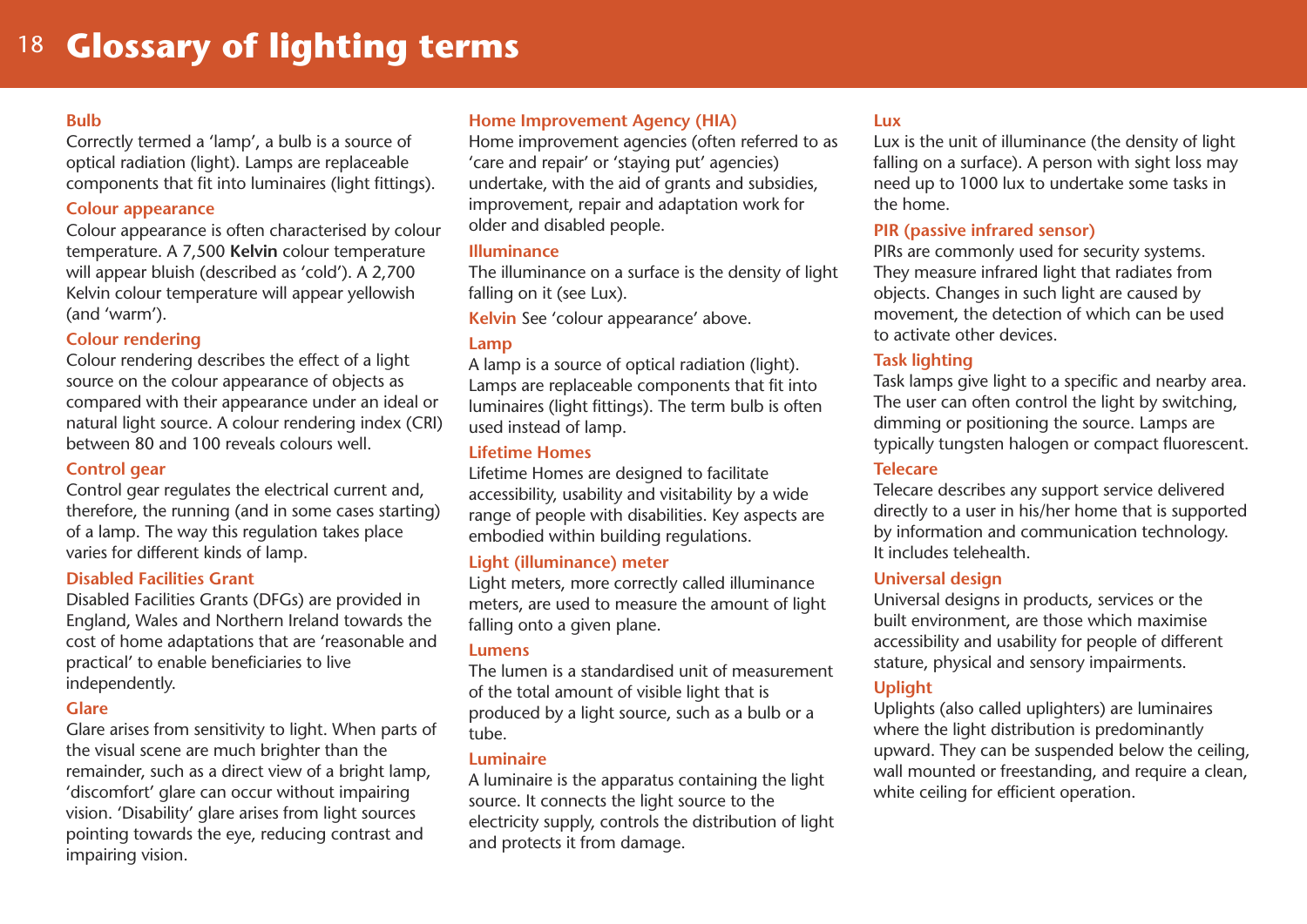## 18 **Glossary of lighting terms**

#### **Bulb**

Correctly termed a 'lamp', a bulb is a source of optical radiation (light). Lamps are replaceable components that fit into luminaires (light fittings).

#### **Colour appearance**

Colour appearance is often characterised by colour temperature. A 7,500 **Kelvin** colour temperature will appear bluish (described as 'cold'). A 2,700 Kelvin colour temperature will appear yellowish (and 'warm').

#### **Colour rendering**

Colour rendering describes the effect of a light source on the colour appearance of objects as compared with their appearance under an ideal or natural light source. A colour rendering index (CRI) between 80 and 100 reveals colours well.

#### **Control gear**

Control gear regulates the electrical current and, therefore, the running (and in some cases starting) of a lamp. The way this regulation takes place varies for different kinds of lamp.

#### **Disabled Facilities Grant**

Disabled Facilities Grants (DFGs) are provided in England, Wales and Northern Ireland towards the cost of home adaptations that are 'reasonable and practical' to enable beneficiaries to live independently.

#### **Glare**

Glare arises from sensitivity to light. When parts of the visual scene are much brighter than the remainder, such as a direct view of a bright lamp. 'discomfort' glare can occur without impairing vision. 'Disability' glare arises from light sources pointing towards the eye, reducing contrast and impairing vision.

#### **Home Improvement Agency (HIA)**

Home improvement agencies (often referred to as 'care and repair' or 'staying put' agencies) undertake, with the aid of grants and subsidies, improvement, repair and adaptation work for older and disabled people.

#### **Illuminance**

The illuminance on a surface is the density of light falling on it (see Lux).

**Kelvin** See 'colour appearance' above.

#### **Lamp**

A lamp is a source of optical radiation (light). Lamps are replaceable components that fit into luminaires (light fittings). The term bulb is often used instead of lamp.

#### **Lifetime Homes**

Lifetime Homes are designed to facilitate accessibility, usability and visitability by a wide range of people with disabilities. Key aspects are embodied within building regulations.

#### **Light (illuminance) meter**

Light meters, more correctly called illuminance meters, are used to measure the amount of light falling onto a given plane.

#### **Lumens**

The lumen is a standardised unit of measurement of the total amount of visible light that is produced by a light source, such as a bulb or a tube.

#### **Luminaire**

A luminaire is the apparatus containing the light source. It connects the light source to the electricity supply, controls the distribution of light and protects it from damage.

#### **Lux**

Lux is the unit of illuminance (the density of light falling on a surface). A person with sight loss may need up to 1000 lux to undertake some tasks in the home.

#### **PIR (passive infrared sensor)**

PIRs are commonly used for security systems. They measure infrared light that radiates from objects. Changes in such light are caused by movement, the detection of which can be used to activate other devices.

#### **Task lighting**

Task lamps give light to a specific and nearby area. The user can often control the light by switching, dimming or positioning the source. Lamps are typically tungsten halogen or compact fluorescent.

#### **Telecare**

Telecare describes any support service delivered directly to a user in his/her home that is supported by information and communication technology. It includes telehealth.

#### **Universal design**

Universal designs in products, services or the built environment, are those which maximise accessibility and usability for people of different stature, physical and sensory impairments.

#### **Uplight**

Uplights (also called uplighters) are luminaires where the light distribution is predominantly upward. They can be suspended below the ceiling, wall mounted or freestanding, and require a clean, white ceiling for efficient operation.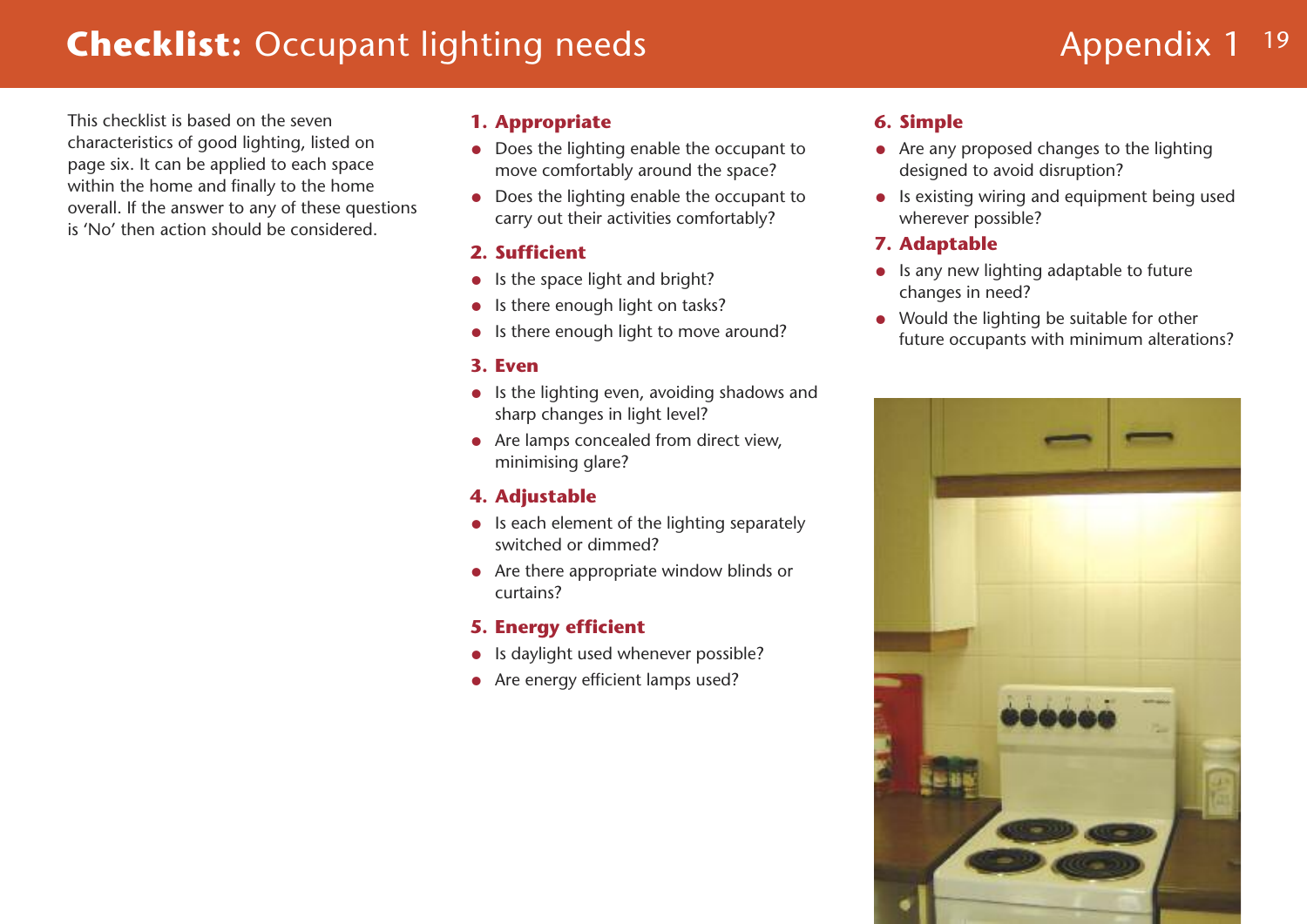## **Checklist:** Occupant lighting needs **Appendix 1** 19 **Appendix 1** 19

This checklist is based on the seven characteristics of good lighting, listed on page six. It can be applied to each space within the home and finally to the home overall. If the answer to any of these questions is 'No' then action should be considered.

#### **1. Appropriate**

- Does the lighting enable the occupant to move comfortably around the space?
- Does the lighting enable the occupant to carry out their activities comfortably?

### **2. Sufficient**

- Is the space light and bright?
- Is there enough light on tasks?
- Is there enough light to move around?

### **3. Even**

- Is the lighting even, avoiding shadows and sharp changes in light level?
- Are lamps concealed from direct view, minimising glare?

## **4. Adjustable**

- Is each element of the lighting separately switched or dimmed?
- Are there appropriate window blinds or curtains?

### **5. Energy efficient**

- Is daylight used whenever possible?
- Are energy efficient lamps used?

### **6. Simple**

- Are any proposed changes to the lighting designed to avoid disruption?
- Is existing wiring and equipment being used wherever possible?

## **7. Adaptable**

- Is any new lighting adaptable to future changes in need?
- Would the lighting be suitable for other future occupants with minimum alterations?

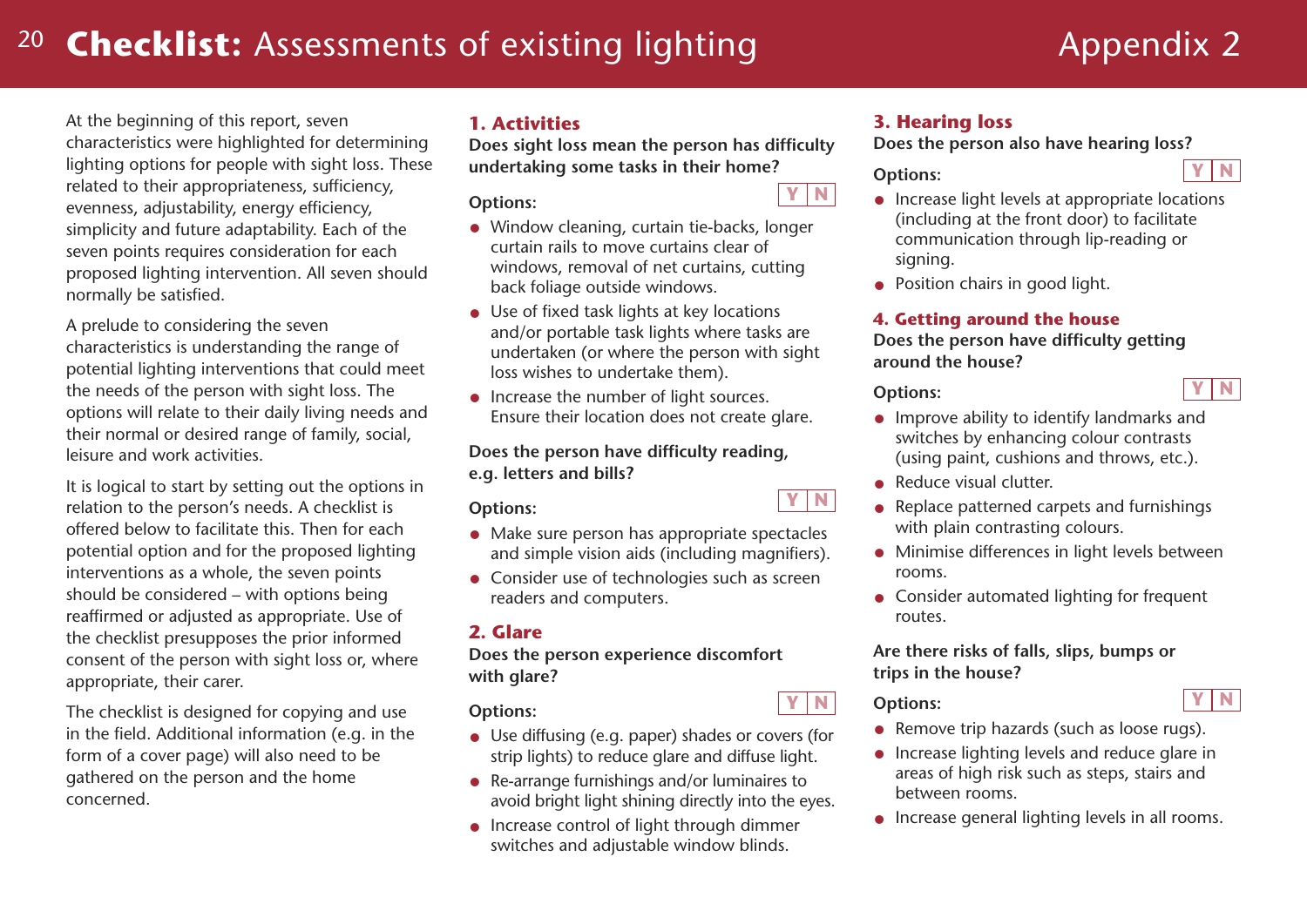## <sup>20</sup> **Checklist:** Assessments of existing lighting

# Appendix 2

**Y N**

**Y N**

At the beginning of this report, seven characteristics were highlighted for determining lighting options for people with sight loss. These related to their appropriateness, sufficiency, evenness, adjustability, energy efficiency, simplicity and future adaptability. Each of the seven points requires consideration for each proposed lighting intervention. All seven should normally be satisfied.

A prelude to considering the seven characteristics is understanding the range of potential lighting interventions that could meet the needs of the person with sight loss. The options will relate to their daily living needs and their normal or desired range of family, social, leisure and work activities.

It is logical to start by setting out the options in relation to the person's needs. A checklist is offered below to facilitate this. Then for each potential option and for the proposed lighting interventions as a whole, the seven points should be considered – with options being reaffirmed or adjusted as appropriate. Use of the checklist presupposes the prior informed consent of the person with sight loss or, where appropriate, their carer.

The checklist is designed for copying and use in the field. Additional information (e.g. in the form of a cover page) will also need to be gathered on the person and the home concerned.

### **1. Activities**

**Does sight loss mean the person has difficulty undertaking some tasks in their home?**

**Options:**

- Window cleaning, curtain tie-backs, longer curtain rails to move curtains clear of windows, removal of net curtains, cutting back foliage outside windows.
- Use of fixed task lights at key locations and/or portable task lights where tasks are undertaken (or where the person with sight loss wishes to undertake them).
- Increase the number of light sources. Ensure their location does not create glare.

#### **Does the person have difficulty reading, e.g. letters and bills?**

#### **Options:**

- Make sure person has appropriate spectacles and simple vision aids (including magnifiers).
- Consider use of technologies such as screen readers and computers.

### **2. Glare**

**Does the person experience discomfort with glare?**

**Options:**

- Use diffusing (e.g. paper) shades or covers (for strip lights) to reduce glare and diffuse light.
- Re-arrange furnishings and/or luminaires to avoid bright light shining directly into the eyes.
- Increase control of light through dimmer switches and adjustable window blinds.

### **3. Hearing loss**

**Does the person also have hearing loss?**

### **Options:**

**Y N**

**Y N**

- Increase light levels at appropriate locations (including at the front door) to facilitate communication through lip-reading or signing.
- Position chairs in good light.

#### **4. Getting around the house**

**Does the person have difficulty getting around the house?**

#### **Options:**

- Improve ability to identify landmarks and switches by enhancing colour contrasts (using paint, cushions and throws, etc.).
- Reduce visual clutter.
- Replace patterned carpets and furnishings with plain contrasting colours.
- Minimise differences in light levels between rooms.
- Consider automated lighting for frequent routes.

**Are there risks of falls, slips, bumps or trips in the house?**

**Y N Y N Options:**

- Remove trip hazards (such as loose rugs).
- Increase lighting levels and reduce glare in areas of high risk such as steps, stairs and between rooms.
- Increase general lighting levels in all rooms.

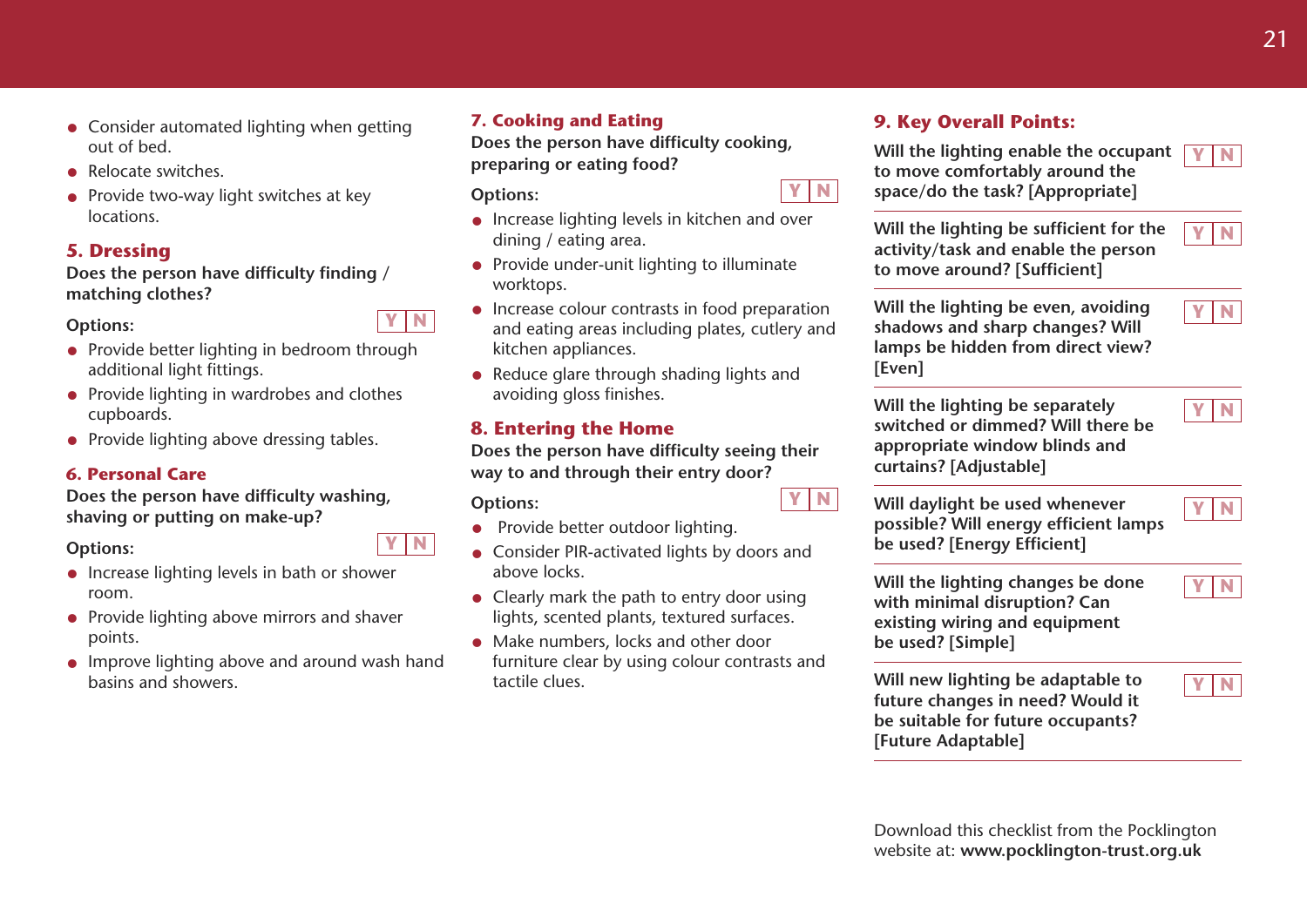- Consider automated lighting when getting out of bed.
- Relocate switches
- Provide two-way light switches at key locations.

### **5. Dressing**

**Does the person have difficulty finding / matching clothes?**

#### **Options:**

- Provide better lighting in bedroom through additional light fittings.
- Provide lighting in wardrobes and clothes cupboards.
- Provide lighting above dressing tables.

#### **6. Personal Care**

**Does the person have difficulty washing, shaving or putting on make-up?**

#### **Options:**

- Increase lighting levels in bath or shower room.
- Provide lighting above mirrors and shaver points.
- Improve lighting above and around wash hand basins and showers.

#### **7. Cooking and Eating**

**Does the person have difficulty cooking, preparing or eating food?**

**Options:**

- Increase lighting levels in kitchen and over dining / eating area.
- Provide under-unit lighting to illuminate worktops.
- Increase colour contrasts in food preparation and eating areas including plates, cutlery and kitchen appliances.
- Reduce glare through shading lights and avoiding gloss finishes.

### **8. Entering the Home**

**Does the person have difficulty seeing their way to and through their entry door?**

#### **Options:**

- Provide better outdoor lighting.
- Consider PIR-activated lights by doors and above locks.
- Clearly mark the path to entry door using lights, scented plants, textured surfaces.
- Make numbers, locks and other door furniture clear by using colour contrasts and tactile clues.

### **9. Key Overall Points:**

**Will the lighting enable the occupant to move comfortably around the space/do the task? [Appropriate]**

**Will the lighting be sufficient for the activity/task and enable the person to move around? [Sufficient]**

**Will the lighting be even, avoiding shadows and sharp changes? Will lamps be hidden from direct view? [Even]**

**Will the lighting be separately switched or dimmed? Will there be appropriate window blinds and curtains? [Adjustable]**

**Will daylight be used whenever possible? Will energy efficient lamps be used? [Energy Efficient]**

**Will the lighting changes be done with minimal disruption? Can existing wiring and equipment be used? [Simple]**

**Will new lighting be adaptable to future changes in need? Would it be suitable for future occupants? [Future Adaptable]**

**Y N**

**Y N**

**Y N**

**Y N**

**Y N**

**Y N**

**Y N**



**Y N**

**Y N**



**Y N**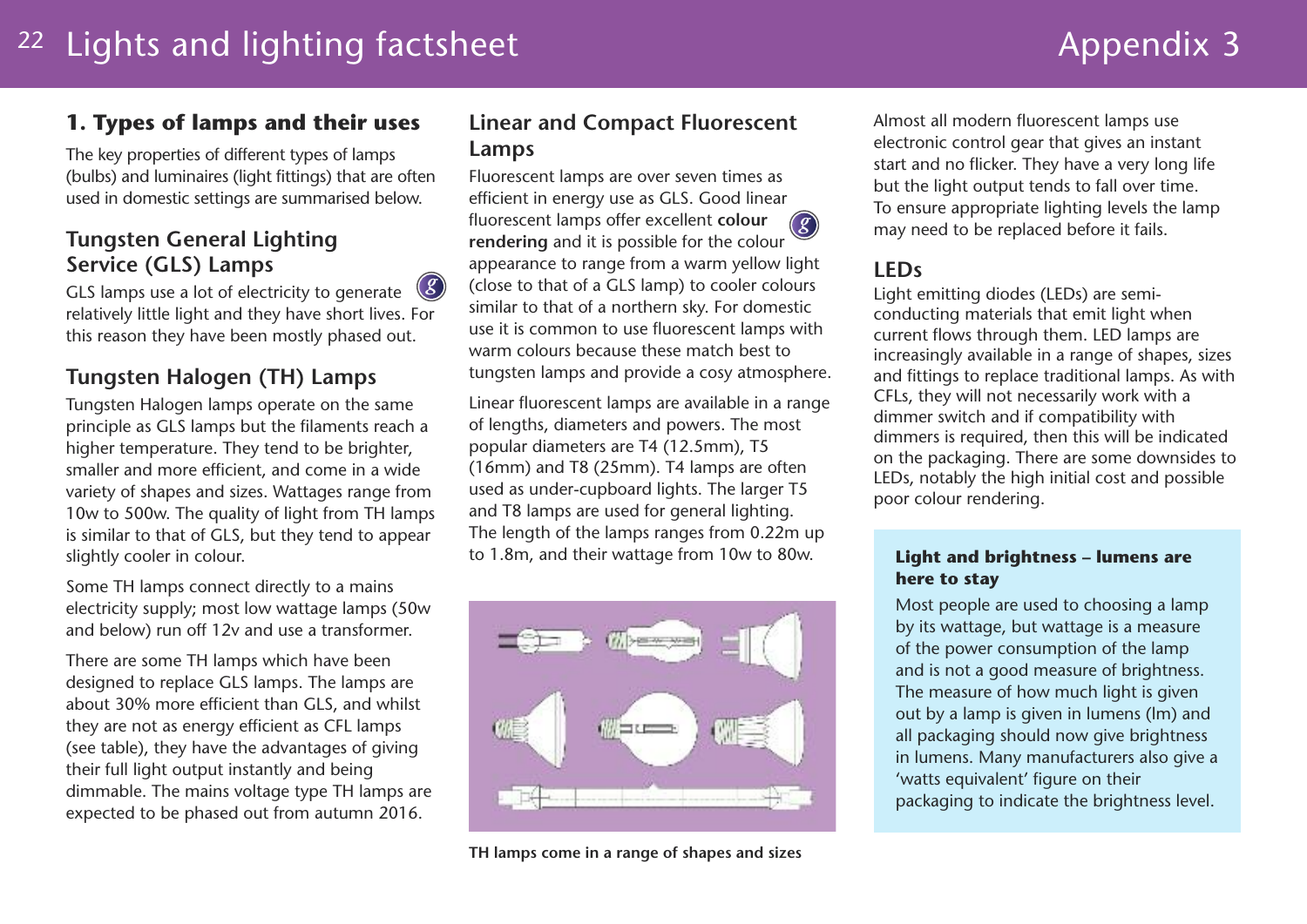## **1. Types of lamps and their uses**

The key properties of different types of lamps (bulbs) and luminaires (light fittings) that are often used in domestic settings are summarised below.

## **Tungsten General Lighting Service (GLS) Lamps**

GLS lamps use a lot of electricity to generate relatively little light and they have short lives. For this reason they have been mostly phased out. *g*

## **Tungsten Halogen (TH) Lamps**

Tungsten Halogen lamps operate on the same principle as GLS lamps but the filaments reach a higher temperature. They tend to be brighter, smaller and more efficient, and come in a wide variety of shapes and sizes. Wattages range from 10w to 500w. The quality of light from TH lamps is similar to that of GLS, but they tend to appear slightly cooler in colour.

Some TH lamps connect directly to a mains electricity supply; most low wattage lamps (50w and below) run off 12v and use a transformer.

There are some TH lamps which have been designed to replace GLS lamps. The lamps are about 30% more efficient than GLS, and whilst they are not as energy efficient as CFL lamps (see table), they have the advantages of giving their full light output instantly and being dimmable. The mains voltage type TH lamps are expected to be phased out from autumn 2016.

## **Linear and Compact Fluorescent Lamps**

Fluorescent lamps are over seven times as efficient in energy use as GLS. Good linear fluorescent lamps offer excellent **colour rendering** and it is possible for the colour appearance to range from a warm yellow light (close to that of a GLS lamp) to cooler colours similar to that of a northern sky. For domestic use it is common to use fluorescent lamps with warm colours because these match best to tungsten lamps and provide a cosy atmosphere. *g*

Linear fluorescent lamps are available in a range of lengths, diameters and powers. The most popular diameters are T4 (12.5mm), T5 (16mm) and T8 (25mm). T4 lamps are often used as under-cupboard lights. The larger T5 and T8 lamps are used for general lighting. The length of the lamps ranges from 0.22m up to 1.8m, and their wattage from 10w to 80w.



Almost all modern fluorescent lamps use electronic control gear that gives an instant start and no flicker. They have a very long life but the light output tends to fall over time. To ensure appropriate lighting levels the lamp may need to be replaced before it fails.

## **LEDs**

Light emitting diodes (LEDs) are semiconducting materials that emit light when current flows through them. LED lamps are increasingly available in a range of shapes, sizes and fittings to replace traditional lamps. As with CFLs, they will not necessarily work with a dimmer switch and if compatibility with dimmers is required, then this will be indicated on the packaging. There are some downsides to LEDs, notably the high initial cost and possible poor colour rendering.

#### **Light and brightness – lumens are here to stay**

Most people are used to choosing a lamp by its wattage, but wattage is a measure of the power consumption of the lamp and is not a good measure of brightness. The measure of how much light is given out by a lamp is given in lumens (lm) and all packaging should now give brightness in lumens. Many manufacturers also give a 'watts equivalent' figure on their packaging to indicate the brightness level.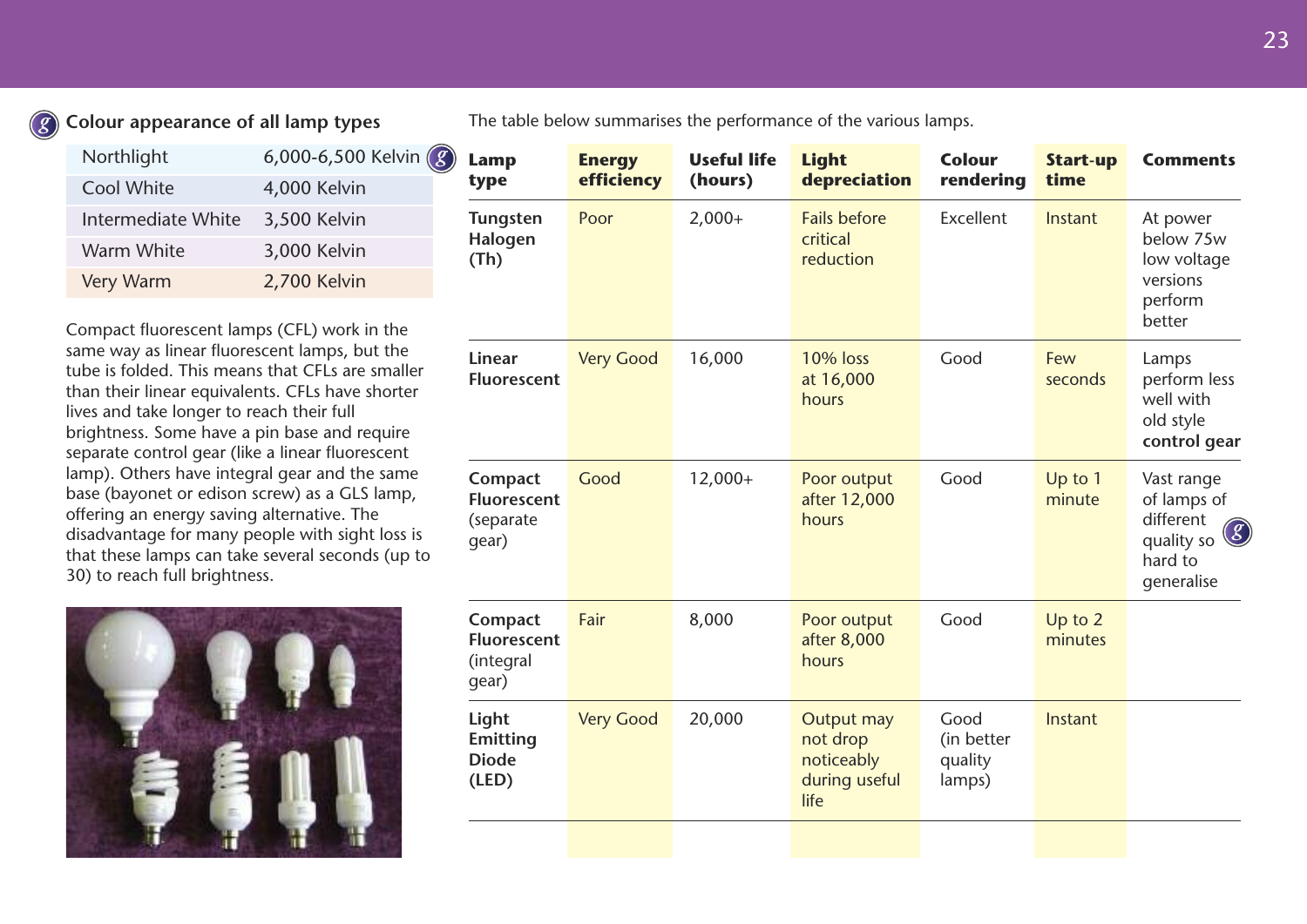### **Colour appearance of all lamp types**

*g*

| Northlight         | 6,000-6,500 Kelvin $\left( 8 \right)$ |
|--------------------|---------------------------------------|
| Cool White         | 4,000 Kelvin                          |
| Intermediate White | 3,500 Kelvin                          |
| Warm White         | 3,000 Kelvin                          |
| <b>Very Warm</b>   | 2,700 Kelvin                          |

Compact fluorescent lamps (CFL) work in the same way as linear fluorescent lamps, but the tube is folded. This means that CFLs are smaller than their linear equivalents. CFLs have shorter lives and take longer to reach their full brightness. Some have a pin base and require separate control gear (like a linear fluorescent lamp). Others have integral gear and the same base (bayonet or edison screw) as a GLS lamp, offering an energy saving alternative. The disadvantage for many people with sight loss is that these lamps can take several seconds (up to 30) to reach full brightness.



The table below summarises the performance of the various lamps.

| <b>Lamp</b><br>type                                 | <b>Energy</b><br>efficiency | <b>Useful life</b><br>(hours) | <b>Light</b><br>depreciation                                  | <b>Colour</b><br>rendering              | <b>Start-up</b><br>time | <b>Comments</b>                                                                             |
|-----------------------------------------------------|-----------------------------|-------------------------------|---------------------------------------------------------------|-----------------------------------------|-------------------------|---------------------------------------------------------------------------------------------|
| <b>Tungsten</b><br>Halogen<br>(Th)                  | Poor                        | $2,000+$                      | <b>Fails before</b><br>critical<br>reduction                  | Excellent                               | Instant                 | At power<br>below 75w<br>low voltage<br>versions<br>perform<br>better                       |
| Linear<br>Fluorescent                               | <b>Very Good</b>            | 16,000                        | <b>10% loss</b><br>at 16,000<br>hours                         | Good                                    | Few<br>seconds          | Lamps<br>perform less<br>well with<br>old style<br>control gear                             |
| Compact<br><b>Fluorescent</b><br>(separate<br>gear) | Good                        | $12,000+$                     | Poor output<br>after 12,000<br>hours                          | Good                                    | Up to 1<br>minute       | Vast range<br>of lamps of<br>different<br>$\bigcirc$<br>quality so<br>hard to<br>generalise |
| Compact<br><b>Fluorescent</b><br>(integral<br>qear) | Fair                        | 8,000                         | Poor output<br>after 8,000<br>hours                           | Good                                    | Up to 2<br>minutes      |                                                                                             |
| Light<br><b>Emitting</b><br><b>Diode</b><br>(LED)   | <b>Very Good</b>            | 20,000                        | Output may<br>not drop<br>noticeably<br>during useful<br>life | Good<br>(in better<br>quality<br>lamps) | Instant                 |                                                                                             |
|                                                     |                             |                               |                                                               |                                         |                         |                                                                                             |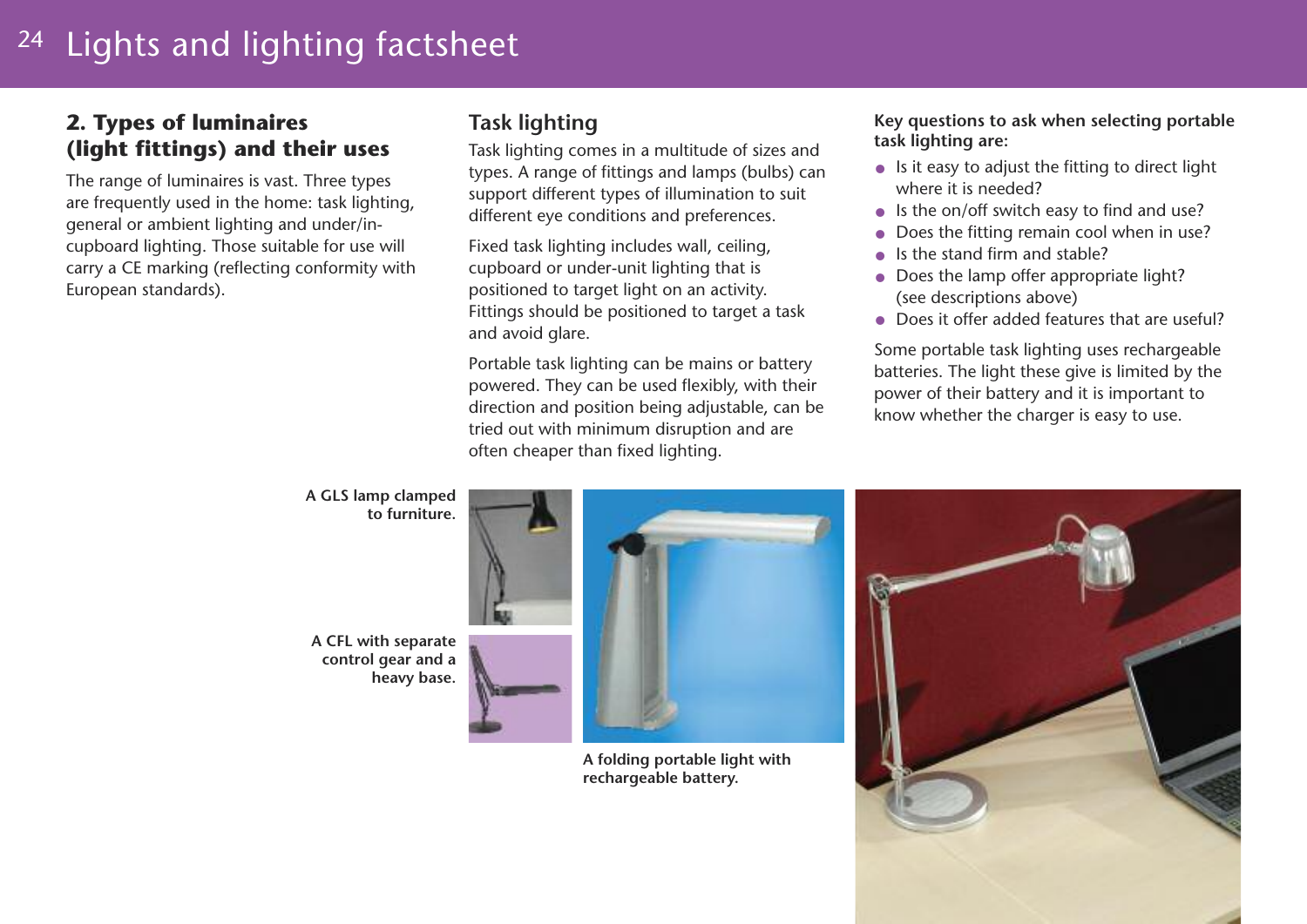#### 24 Lights and lighting factsheet

## **2. Types of luminaires (light fittings) and their uses**

The range of luminaires is vast. Three types are frequently used in the home: task lighting, general or ambient lighting and under/incupboard lighting. Those suitable for use will carry a CE marking (reflecting conformity with European standards).

## **Task lighting**

Task lighting comes in a multitude of sizes and types. A range of fittings and lamps (bulbs) can support different types of illumination to suit different eye conditions and preferences.

Fixed task lighting includes wall, ceiling, cupboard or under-unit lighting that is positioned to target light on an activity. Fittings should be positioned to target a task and avoid glare.

Portable task lighting can be mains or battery powered. They can be used flexibly, with their direction and position being adjustable, can be tried out with minimum disruption and are often cheaper than fixed lighting.

#### **Key questions to ask when selecting portable task lighting are:**

- Is it easy to adjust the fitting to direct light where it is needed?
- Is the on/off switch easy to find and use?
- Does the fitting remain cool when in use?
- Is the stand firm and stable?
- Does the lamp offer appropriate light? (see descriptions above)
- Does it offer added features that are useful?

Some portable task lighting uses rechargeable batteries. The light these give is limited by the power of their battery and it is important to know whether the charger is easy to use.

**A GLS lamp clamped to furniture.**

**A CFL with separate control gear and a heavy base.**



**A folding portable light with rechargeable battery.**

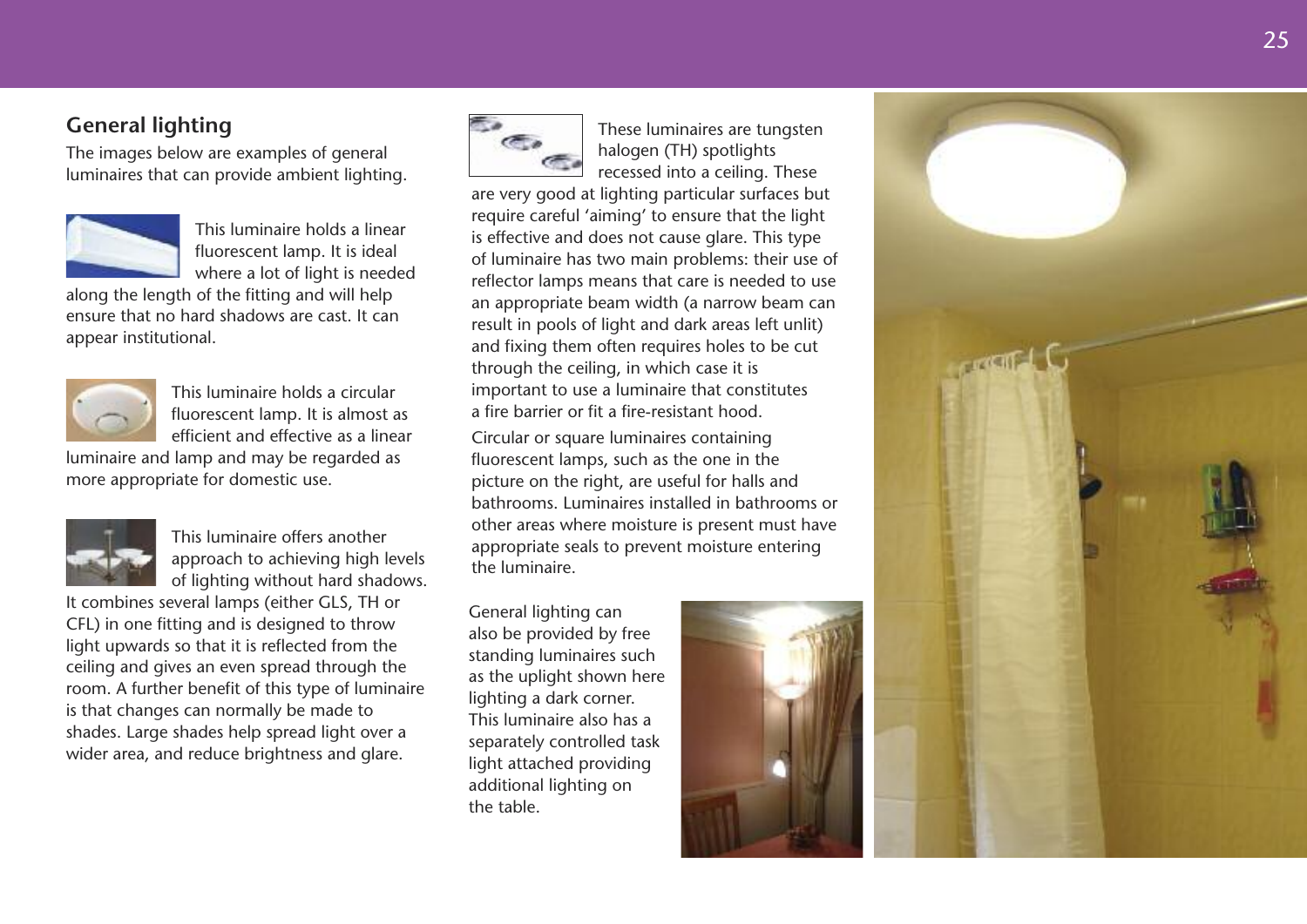## **G e n e r a l l i g h t i n g**

The images below are examples of general luminaires that can provide ambient lighting.



This luminaire holds a linear fluorescent lamp. It is ideal where a lot of light is needed

along the length of the fitting and will help ensure that no hard shadows are cast. It can appear institutional.



This luminaire holds a circular fluorescent lamp. It is almost as efficient and effective as a linear

luminaire and lamp and may be regarded as more appropriate for domestic use.



This luminaire offers another approach to achieving high levels of lighting without hard shadows.

It combines several lamps (either GLS, TH or CFL) in one fitting and is designed to throw light upwards so that it is reflected from the ceiling and gives an even spread through the room. A further benefit of this type of luminaire is that changes can normally be made to shades. Large shades help spread light over a wider area, and reduce brightness and glare.



These luminaires are tungsten halogen (TH) spotlights recessed into a ceiling. These

are very good at lighting particular surfaces but require careful 'aiming' to ensure that the light is effective and does not cause glare. This type of luminaire has two main problems: their use of reflector lamps means that care is needed to use an appropriate beam width (a narrow beam can result in pools of light and dark areas left unlit) and fixing them often requires holes to be cut through the ceiling, in which case it is important to use a luminaire that constitutes a fire barrier or fit a fire-resistant hood.

Circular or square luminaires containing fluorescent lamps, such as the one in the picture on the right, are useful for halls and bathrooms. Luminaires installed in bathrooms or other areas where moisture is present must have appropriate seals to prevent moisture entering the luminaire.

General lighting can also be provided by free standing luminaires such as the uplight shown here lighting a dark corner. This luminaire also has a separately controlled task light attached providing additional lighting on the table.



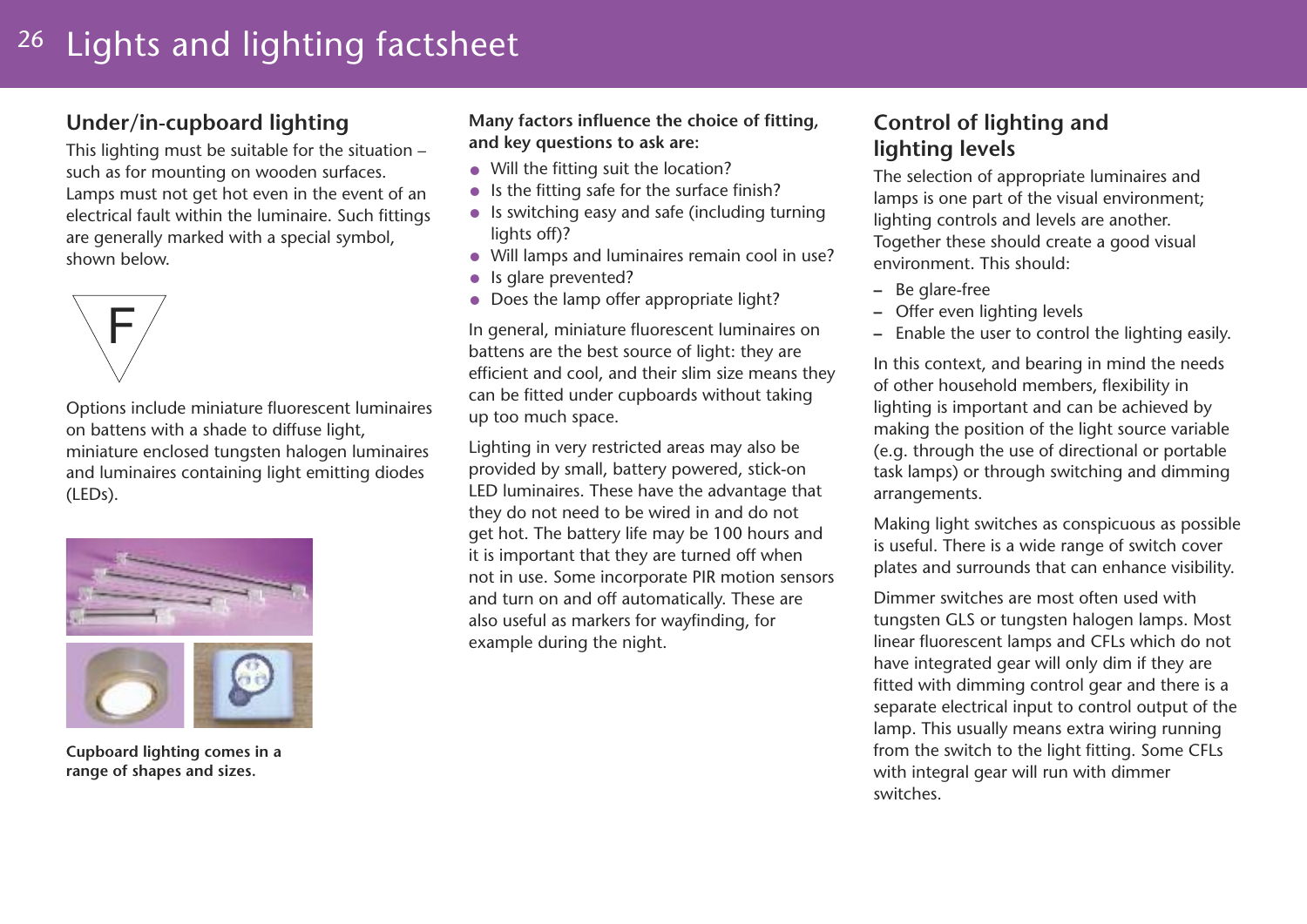#### 26 Lights and lighting factsheet

## **Under/in-cupboard lighting**

This lighting must be suitable for the situation – such as for mounting on wooden surfaces. Lamps must not get hot even in the event of an electrical fault within the luminaire. Such fittings are generally marked with a special symbol, shown below.



Options include miniature fluorescent luminaires on battens with a shade to diffuse light, miniature enclosed tungsten halogen luminaires and luminaires containing light emitting diodes (LEDs).



**Cupboard lighting comes in a range of shapes and sizes.**

**Many factors influence the choice of fitting, and key questions to ask are:**

- Will the fitting suit the location?
- Is the fitting safe for the surface finish?
- Is switching easy and safe (including turning lights off)?
- Will lamps and luminaires remain cool in use?
- Is glare prevented?
- Does the lamp offer appropriate light?

In general, miniature fluorescent luminaires on battens are the best source of light: they are efficient and cool, and their slim size means they can be fitted under cupboards without taking up too much space.

Lighting in very restricted areas may also be provided by small, battery powered, stick-on LED luminaires. These have the advantage that they do not need to be wired in and do not get hot. The battery life may be 100 hours and it is important that they are turned off when not in use. Some incorporate PIR motion sensors and turn on and off automatically. These are also useful as markers for wayfinding, for example during the night.

## **Control of lighting and lighting levels**

The selection of appropriate luminaires and lamps is one part of the visual environment; lighting controls and levels are another. Together these should create a good visual environment. This should:

- **–** Be glare-free
- **–** Offer even lighting levels
- **–** Enable the user to control the lighting easily.

In this context, and bearing in mind the needs of other household members, flexibility in lighting is important and can be achieved by making the position of the light source variable (e.g. through the use of directional or portable task lamps) or through switching and dimming arrangements.

Making light switches as conspicuous as possible is useful. There is a wide range of switch cover plates and surrounds that can enhance visibility.

Dimmer switches are most often used with tungsten GLS or tungsten halogen lamps. Most linear fluorescent lamps and CFLs which do not have integrated gear will only dim if they are fitted with dimming control gear and there is a separate electrical input to control output of the lamp. This usually means extra wiring running from the switch to the light fitting. Some CFLs with integral gear will run with dimmer switches.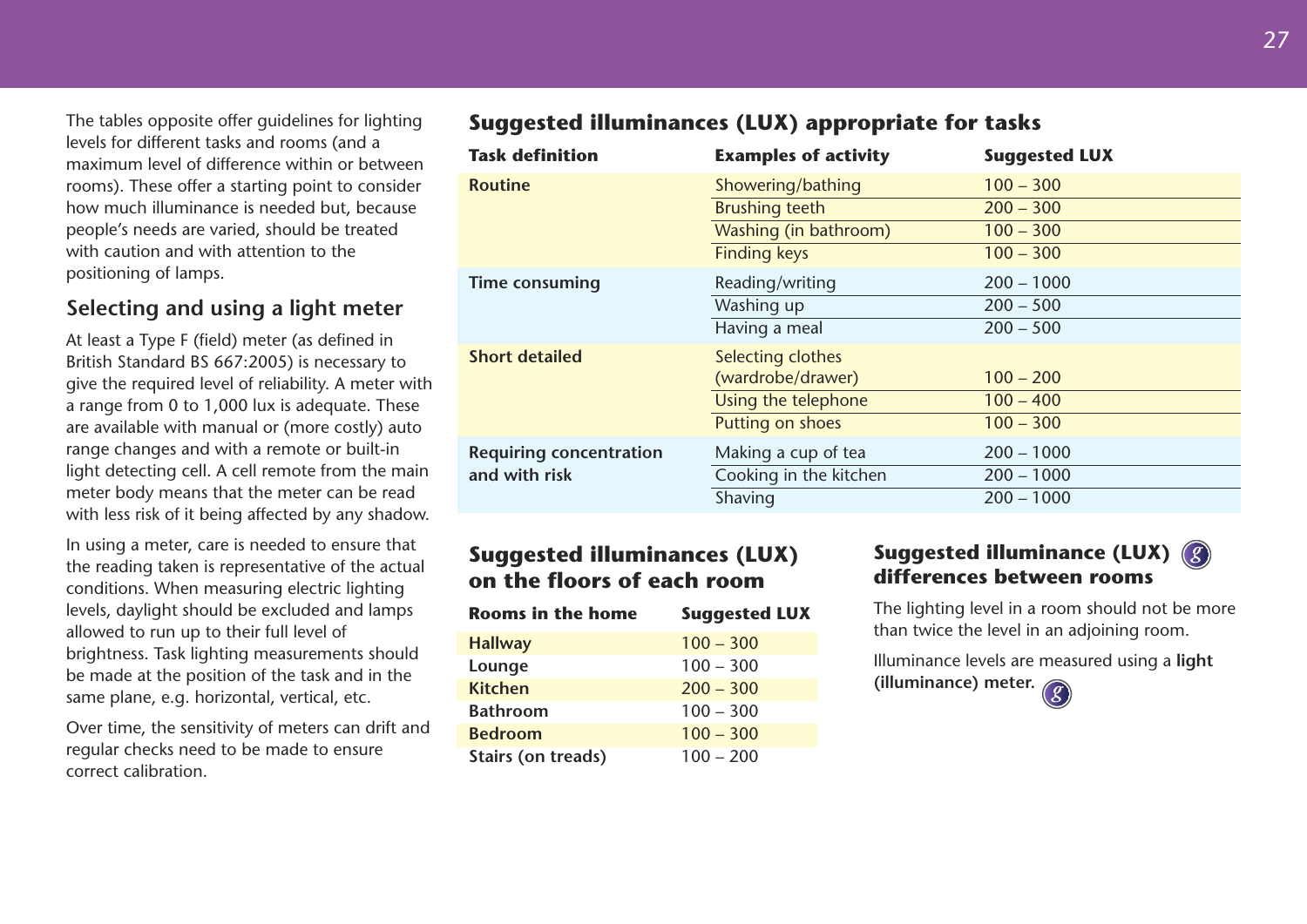The tables opposite offer guidelines for lighting levels for different tasks and rooms (and a maximum level of difference within or between rooms). These offer a starting point to consider how much illuminance is needed but, because people's needs are varied, should be treated with caution and with attention to the positioning of lamps.

## **Selecting and using a light meter**

At least a Type F (field) meter (as defined in British Standard BS 667:2005) is necessary to give the required level of reliability. A meter with a range from 0 to 1,000 lux is adequate. These are available with manual or (more costly) auto range changes and with a remote or built-in light detecting cell. A cell remote from the main meter body means that the meter can be read with less risk of it being affected by any shadow.

In using a meter, care is needed to ensure that the reading taken is representative of the actual conditions. When measuring electric lighting levels, daylight should be excluded and lamps allowed to run up to their full level of brightness. Task lighting measurements should be made at the position of the task and in the same plane, e.g. horizontal, vertical, etc.

Over time, the sensitivity of meters can drift and regular checks need to be made to ensure correct calibration.

## **Suggested illuminances (LUX) appropriate for tasks**

| <b>Task definition</b>         | <b>Examples of activity</b> | <b>Suggested LUX</b> |
|--------------------------------|-----------------------------|----------------------|
| <b>Routine</b>                 | Showering/bathing           | $100 - 300$          |
|                                | <b>Brushing teeth</b>       | $200 - 300$          |
|                                | Washing (in bathroom)       | $100 - 300$          |
|                                | <b>Finding keys</b>         | $100 - 300$          |
| <b>Time consuming</b>          | Reading/writing             | $200 - 1000$         |
|                                | Washing up                  | $200 - 500$          |
|                                | Having a meal               | $200 - 500$          |
| <b>Short detailed</b>          | Selecting clothes           |                      |
|                                | (wardrobe/drawer)           | $100 - 200$          |
|                                | Using the telephone         | $100 - 400$          |
|                                | Putting on shoes            | $100 - 300$          |
| <b>Requiring concentration</b> | Making a cup of tea         | $200 - 1000$         |
| and with risk                  | Cooking in the kitchen      | $200 - 1000$         |
|                                | Shaving                     | $200 - 1000$         |

## **Suggested illuminances (LUX) on the floors of each room**

| <b>Rooms in the home</b> | <b>Suggested LUX</b> |
|--------------------------|----------------------|
| <b>Hallway</b>           | $100 - 300$          |
| Lounge                   | $100 - 300$          |
| <b>Kitchen</b>           | $200 - 300$          |
| <b>Bathroom</b>          | $100 - 300$          |
| <b>Bedroom</b>           | $100 - 300$          |
| Stairs (on treads)       | $100 - 200$          |

## **Suggested illuminance (LUX)** *g***differences between rooms**

The lighting level in a room should not be more than twice the level in an adjoining room.

Illuminance levels are measured using a **light (illuminance) meter.** *g*